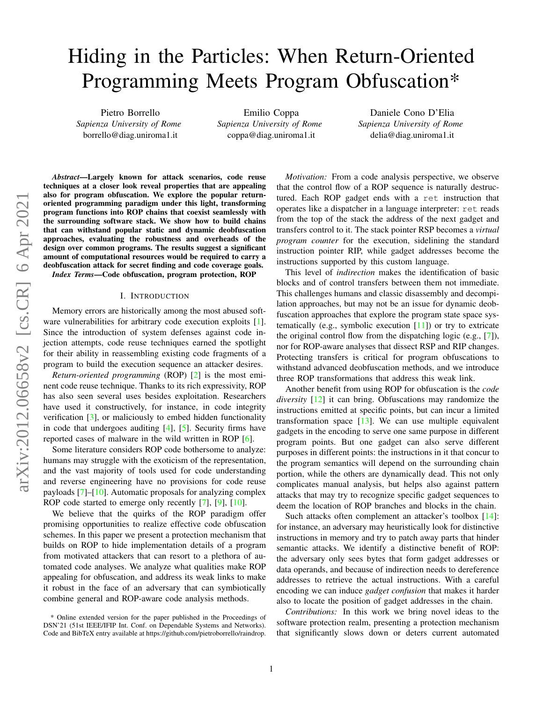# <span id="page-0-1"></span>Hiding in the Particles: When Return-Oriented Programming Meets Program Obfuscation\*

Pietro Borrello *Sapienza University of Rome* borrello@diag.uniroma1.it

Emilio Coppa *Sapienza University of Rome* coppa@diag.uniroma1.it

Daniele Cono D'Elia *Sapienza University of Rome* delia@diag.uniroma1.it

*Abstract*—Largely known for attack scenarios, code reuse techniques at a closer look reveal properties that are appealing also for program obfuscation. We explore the popular returnoriented programming paradigm under this light, transforming program functions into ROP chains that coexist seamlessly with the surrounding software stack. We show how to build chains that can withstand popular static and dynamic deobfuscation approaches, evaluating the robustness and overheads of the design over common programs. The results suggest a significant amount of computational resources would be required to carry a deobfuscation attack for secret finding and code coverage goals.

*Index Terms*—Code obfuscation, program protection, ROP

## I. INTRODUCTION

<span id="page-0-0"></span>Memory errors are historically among the most abused software vulnerabilities for arbitrary code execution exploits [\[1\]](#page-11-0). Since the introduction of system defenses against code injection attempts, code reuse techniques earned the spotlight for their ability in reassembling existing code fragments of a program to build the execution sequence an attacker desires.

*Return-oriented programming* (ROP) [\[2\]](#page-11-1) is the most eminent code reuse technique. Thanks to its rich expressivity, ROP has also seen several uses besides exploitation. Researchers have used it constructively, for instance, in code integrity verification [\[3\]](#page-11-2), or maliciously to embed hidden functionality in code that undergoes auditing [\[4\]](#page-11-3), [\[5\]](#page-11-4). Security firms have reported cases of malware in the wild written in ROP [\[6\]](#page-11-5).

Some literature considers ROP code bothersome to analyze: humans may struggle with the exoticism of the representation, and the vast majority of tools used for code understanding and reverse engineering have no provisions for code reuse payloads  $[7]-[10]$  $[7]-[10]$  $[7]-[10]$ . Automatic proposals for analyzing complex ROP code started to emerge only recently [\[7\]](#page-11-6), [\[9\]](#page-11-8), [\[10\]](#page-11-7).

We believe that the quirks of the ROP paradigm offer promising opportunities to realize effective code obfuscation schemes. In this paper we present a protection mechanism that builds on ROP to hide implementation details of a program from motivated attackers that can resort to a plethora of automated code analyses. We analyze what qualities make ROP appealing for obfuscation, and address its weak links to make it robust in the face of an adversary that can symbiotically combine general and ROP-aware code analysis methods.

*Motivation:* From a code analysis perspective, we observe that the control flow of a ROP sequence is naturally destructured. Each ROP gadget ends with a ret instruction that operates like a dispatcher in a language interpreter: ret reads from the top of the stack the address of the next gadget and transfers control to it. The stack pointer RSP becomes a *virtual program counter* for the execution, sidelining the standard instruction pointer RIP, while gadget addresses become the instructions supported by this custom language.

This level of *indirection* makes the identification of basic blocks and of control transfers between them not immediate. This challenges humans and classic disassembly and decompilation approaches, but may not be an issue for dynamic deobfuscation approaches that explore the program state space systematically (e.g., symbolic execution  $[11]$ ) or try to extricate the original control flow from the dispatching logic (e.g., [\[7\]](#page-11-6)), nor for ROP-aware analyses that dissect RSP and RIP changes. Protecting transfers is critical for program obfuscations to withstand advanced deobfuscation methods, and we introduce three ROP transformations that address this weak link.

Another benefit from using ROP for obfuscation is the *code diversity* [\[12\]](#page-11-10) it can bring. Obfuscations may randomize the instructions emitted at specific points, but can incur a limited transformation space  $[13]$ . We can use multiple equivalent gadgets in the encoding to serve one same purpose in different program points. But one gadget can also serve different purposes in different points: the instructions in it that concur to the program semantics will depend on the surrounding chain portion, while the others are dynamically dead. This not only complicates manual analysis, but helps also against pattern attacks that may try to recognize specific gadget sequences to deem the location of ROP branches and blocks in the chain.

Such attacks often complement an attacker's toolbox [\[14\]](#page-11-12): for instance, an adversary may heuristically look for distinctive instructions in memory and try to patch away parts that hinder semantic attacks. We identify a distinctive benefit of ROP: the adversary only sees bytes that form gadget addresses or data operands, and because of indirection needs to dereference addresses to retrieve the actual instructions. With a careful encoding we can induce *gadget confusion* that makes it harder also to locate the position of gadget addresses in the chain.

*Contributions:* In this work we bring novel ideas to the software protection realm, presenting a protection mechanism that significantly slows down or deters current automated

<sup>\*</sup> Online extended version for the paper published in the Proceedings of DSN'21 (51st IEEE/IFIP Int. Conf. on Dependable Systems and Networks). Code and BibTeX entry available at [https://github.com/pietroborrello/raindrop.](https://github.com/pietroborrello/raindrop)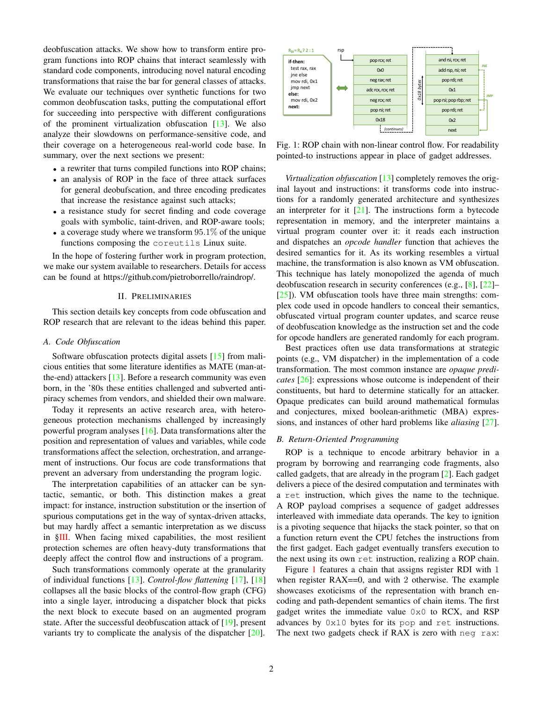deobfuscation attacks. We show how to transform entire program functions into ROP chains that interact seamlessly with standard code components, introducing novel natural encoding transformations that raise the bar for general classes of attacks. We evaluate our techniques over synthetic functions for two common deobfuscation tasks, putting the computational effort for succeeding into perspective with different configurations of the prominent virtualization obfuscation [\[13\]](#page-11-11). We also analyze their slowdowns on performance-sensitive code, and their coverage on a heterogeneous real-world code base. In summary, over the next sections we present:

- a rewriter that turns compiled functions into ROP chains;
- an analysis of ROP in the face of three attack surfaces for general deobufscation, and three encoding predicates that increase the resistance against such attacks;
- a resistance study for secret finding and code coverage goals with symbolic, taint-driven, and ROP-aware tools;
- a coverage study where we transform  $95.1\%$  of the unique functions composing the coreutils Linux suite.

In the hope of fostering further work in program protection, we make our system available to researchers. Details for access can be found at [https://github.com/pietroborrello/raindrop/.](https://github.com/pietroborrello/raindrop/)

# II. PRELIMINARIES

This section details key concepts from code obfuscation and ROP research that are relevant to the ideas behind this paper.

# *A. Code Obfuscation*

Software obfuscation protects digital assets [\[15\]](#page-11-13) from malicious entities that some literature identifies as MATE (man-atthe-end) attackers [\[13\]](#page-11-11). Before a research community was even born, in the '80s these entities challenged and subverted antipiracy schemes from vendors, and shielded their own malware.

Today it represents an active research area, with heterogeneous protection mechanisms challenged by increasingly powerful program analyses  $[16]$ . Data transformations alter the position and representation of values and variables, while code transformations affect the selection, orchestration, and arrangement of instructions. Our focus are code transformations that prevent an adversary from understanding the program logic.

The interpretation capabilities of an attacker can be syntactic, semantic, or both. This distinction makes a great impact: for instance, instruction substitution or the insertion of spurious computations get in the way of syntax-driven attacks, but may hardly affect a semantic interpretation as we discuss in [§III.](#page-2-0) When facing mixed capabilities, the most resilient protection schemes are often heavy-duty transformations that deeply affect the control flow and instructions of a program.

Such transformations commonly operate at the granularity of individual functions [\[13\]](#page-11-11). *Control-flow flattening* [\[17\]](#page-11-15), [\[18\]](#page-11-16) collapses all the basic blocks of the control-flow graph (CFG) into a single layer, introducing a dispatcher block that picks the next block to execute based on an augmented program state. After the successful deobfuscation attack of [\[19\]](#page-11-17), present variants try to complicate the analysis of the dispatcher [\[20\]](#page-11-18).

<span id="page-1-0"></span>

Fig. 1: ROP chain with non-linear control flow. For readability pointed-to instructions appear in place of gadget addresses.

*Virtualization obfuscation* [\[13\]](#page-11-11) completely removes the original layout and instructions: it transforms code into instructions for a randomly generated architecture and synthesizes an interpreter for it  $[21]$ . The instructions form a bytecode representation in memory, and the interpreter maintains a virtual program counter over it: it reads each instruction and dispatches an *opcode handler* function that achieves the desired semantics for it. As its working resembles a virtual machine, the transformation is also known as VM obfuscation. This technique has lately monopolized the agenda of much deobfuscation research in security conferences (e.g., [\[8\]](#page-11-20), [\[22\]](#page-11-21)– [\[25\]](#page-11-22)). VM obfuscation tools have three main strengths: complex code used in opcode handlers to conceal their semantics, obfuscated virtual program counter updates, and scarce reuse of deobfuscation knowledge as the instruction set and the code for opcode handlers are generated randomly for each program.

Best practices often use data transformations at strategic points (e.g., VM dispatcher) in the implementation of a code transformation. The most common instance are *opaque predicates* [\[26\]](#page-11-23): expressions whose outcome is independent of their constituents, but hard to determine statically for an attacker. Opaque predicates can build around mathematical formulas and conjectures, mixed boolean-arithmetic (MBA) expressions, and instances of other hard problems like *aliasing* [\[27\]](#page-11-24).

# <span id="page-1-1"></span>*B. Return-Oriented Programming*

ROP is a technique to encode arbitrary behavior in a program by borrowing and rearranging code fragments, also called gadgets, that are already in the program [\[2\]](#page-11-1). Each gadget delivers a piece of the desired computation and terminates with a ret instruction, which gives the name to the technique. A ROP payload comprises a sequence of gadget addresses interleaved with immediate data operands. The key to ignition is a pivoting sequence that hijacks the stack pointer, so that on a function return event the CPU fetches the instructions from the first gadget. Each gadget eventually transfers execution to the next using its own ret instruction, realizing a ROP chain.

Figure [1](#page-1-0) features a chain that assigns register RDI with 1 when register  $RAX == 0$ , and with 2 otherwise. The example showcases exoticisms of the representation with branch encoding and path-dependent semantics of chain items. The first gadget writes the immediate value 0x0 to RCX, and RSP advances by 0x10 bytes for its pop and ret instructions. The next two gadgets check if RAX is zero with neg rax: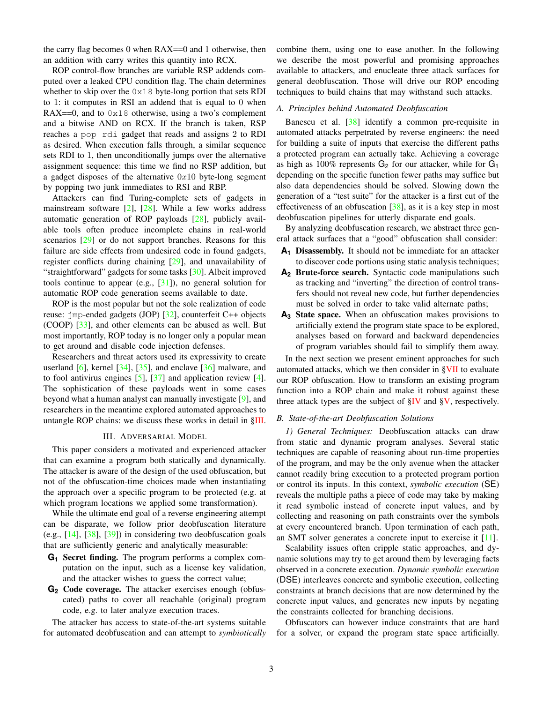the carry flag becomes 0 when RAX==0 and 1 otherwise, then an addition with carry writes this quantity into RCX.

ROP control-flow branches are variable RSP addends computed over a leaked CPU condition flag. The chain determines whether to skip over the 0x18 byte-long portion that sets RDI to 1: it computes in RSI an addend that is equal to 0 when RAX==0, and to  $0 \times 18$  otherwise, using a two's complement and a bitwise AND on RCX. If the branch is taken, RSP reaches a pop rdi gadget that reads and assigns 2 to RDI as desired. When execution falls through, a similar sequence sets RDI to 1, then unconditionally jumps over the alternative assignment sequence: this time we find no RSP addition, but a gadget disposes of the alternative  $0x10$  byte-long segment by popping two junk immediates to RSI and RBP.

Attackers can find Turing-complete sets of gadgets in mainstream software  $[2]$ ,  $[28]$ . While a few works address automatic generation of ROP payloads [\[28\]](#page-11-25), publicly available tools often produce incomplete chains in real-world scenarios [\[29\]](#page-11-26) or do not support branches. Reasons for this failure are side effects from undesired code in found gadgets, register conflicts during chaining [\[29\]](#page-11-26), and unavailability of "straightforward" gadgets for some tasks [\[30\]](#page-11-27). Albeit improved tools continue to appear (e.g.,  $[31]$ ), no general solution for automatic ROP code generation seems available to date.

ROP is the most popular but not the sole realization of code reuse: jmp-ended gadgets (JOP) [\[32\]](#page-11-29), counterfeit C++ objects (COOP) [\[33\]](#page-11-30), and other elements can be abused as well. But most importantly, ROP today is no longer only a popular mean to get around and disable code injection defenses.

Researchers and threat actors used its expressivity to create userland  $[6]$ , kernel  $[34]$ ,  $[35]$ , and enclave  $[36]$  malware, and to fool antivirus engines  $[5]$ ,  $[37]$  and application review  $[4]$ . The sophistication of these payloads went in some cases beyond what a human analyst can manually investigate [\[9\]](#page-11-8), and researchers in the meantime explored automated approaches to untangle ROP chains: we discuss these works in detail in [§III.](#page-2-0)

### III. ADVERSARIAL MODEL

<span id="page-2-0"></span>This paper considers a motivated and experienced attacker that can examine a program both statically and dynamically. The attacker is aware of the design of the used obfuscation, but not of the obfuscation-time choices made when instantiating the approach over a specific program to be protected (e.g. at which program locations we applied some transformation).

While the ultimate end goal of a reverse engineering attempt can be disparate, we follow prior deobfuscation literature (e.g., [\[14\]](#page-11-12), [\[38\]](#page-12-4), [\[39\]](#page-12-5)) in considering two deobfuscation goals that are sufficiently generic and analytically measurable:

- **G<sup>1</sup>** Secret finding. The program performs a complex computation on the input, such as a license key validation, and the attacker wishes to guess the correct value;
- **G<sup>2</sup>** Code coverage. The attacker exercises enough (obfuscated) paths to cover all reachable (original) program code, e.g. to later analyze execution traces.

The attacker has access to state-of-the-art systems suitable for automated deobfuscation and can attempt to *symbiotically* combine them, using one to ease another. In the following we describe the most powerful and promising approaches available to attackers, and enucleate three attack surfaces for general deobfuscation. Those will drive our ROP encoding techniques to build chains that may withstand such attacks.

# <span id="page-2-2"></span>*A. Principles behind Automated Deobfuscation*

Banescu et al. [\[38\]](#page-12-4) identify a common pre-requisite in automated attacks perpetrated by reverse engineers: the need for building a suite of inputs that exercise the different paths a protected program can actually take. Achieving a coverage as high as 100% represents  $G_2$  for our attacker, while for  $G_1$ depending on the specific function fewer paths may suffice but also data dependencies should be solved. Slowing down the generation of a "test suite" for the attacker is a first cut of the effectiveness of an obfuscation [\[38\]](#page-12-4), as it is a key step in most deobfuscation pipelines for utterly disparate end goals.

By analyzing deobfuscation research, we abstract three general attack surfaces that a "good" obfuscation shall consider:

- **A<sup>1</sup>** Disassembly. It should not be immediate for an attacker to discover code portions using static analysis techniques;
- **A<sup>2</sup>** Brute-force search. Syntactic code manipulations such as tracking and "inverting" the direction of control transfers should not reveal new code, but further dependencies must be solved in order to take valid alternate paths;
- **A<sup>3</sup>** State space. When an obfuscation makes provisions to artificially extend the program state space to be explored, analyses based on forward and backward dependencies of program variables should fail to simplify them away.

In the next section we present eminent approaches for such automated attacks, which we then consider in [§VII](#page-8-0) to evaluate our ROP obfuscation. How to transform an existing program function into a ROP chain and make it robust against these three attack types are the subject of  $\S$ <sup>IV</sup> and  $\S$ <sup>V</sup>, respectively.

## <span id="page-2-1"></span>*B. State-of-the-art Deobfuscation Solutions*

*1) General Techniques:* Deobfuscation attacks can draw from static and dynamic program analyses. Several static techniques are capable of reasoning about run-time properties of the program, and may be the only avenue when the attacker cannot readily bring execution to a protected program portion or control its inputs. In this context, *symbolic execution* (SE) reveals the multiple paths a piece of code may take by making it read symbolic instead of concrete input values, and by collecting and reasoning on path constraints over the symbols at every encountered branch. Upon termination of each path, an SMT solver generates a concrete input to exercise it [\[11\]](#page-11-9).

Scalability issues often cripple static approaches, and dynamic solutions may try to get around them by leveraging facts observed in a concrete execution. *Dynamic symbolic execution* (DSE) interleaves concrete and symbolic execution, collecting constraints at branch decisions that are now determined by the concrete input values, and generates new inputs by negating the constraints collected for branching decisions.

Obfuscators can however induce constraints that are hard for a solver, or expand the program state space artificially.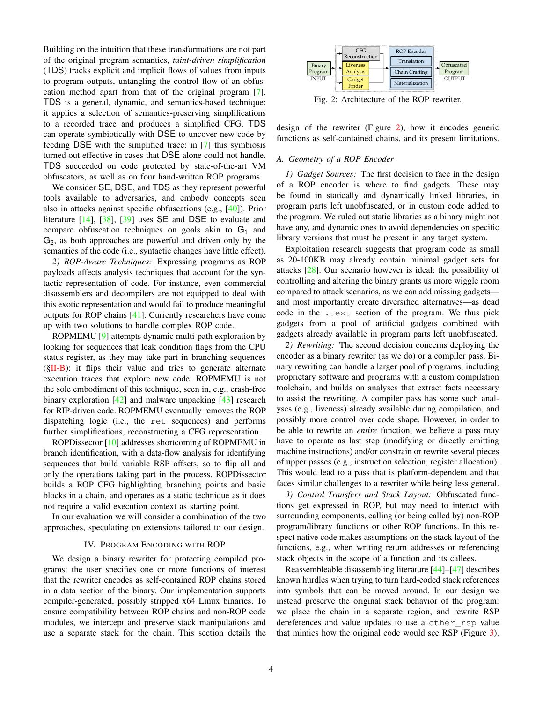Building on the intuition that these transformations are not part of the original program semantics, *taint-driven simplification* (TDS) tracks explicit and implicit flows of values from inputs to program outputs, untangling the control flow of an obfuscation method apart from that of the original program [\[7\]](#page-11-6). TDS is a general, dynamic, and semantics-based technique: it applies a selection of semantics-preserving simplifications to a recorded trace and produces a simplified CFG. TDS can operate symbiotically with DSE to uncover new code by feeding DSE with the simplified trace: in [\[7\]](#page-11-6) this symbiosis turned out effective in cases that DSE alone could not handle. TDS succeeded on code protected by state-of-the-art VM obfuscators, as well as on four hand-written ROP programs.

We consider SE, DSE, and TDS as they represent powerful tools available to adversaries, and embody concepts seen also in attacks against specific obfuscations (e.g., [\[40\]](#page-12-6)). Prior literature [\[14\]](#page-11-12), [\[38\]](#page-12-4), [\[39\]](#page-12-5) uses SE and DSE to evaluate and compare obfuscation techniques on goals akin to  $G_1$  and G2, as both approaches are powerful and driven only by the semantics of the code (i.e., syntactic changes have little effect).

*2) ROP-Aware Techniques:* Expressing programs as ROP payloads affects analysis techniques that account for the syntactic representation of code. For instance, even commercial disassemblers and decompilers are not equipped to deal with this exotic representation and would fail to produce meaningful outputs for ROP chains [\[41\]](#page-12-7). Currently researchers have come up with two solutions to handle complex ROP code.

ROPMEMU [\[9\]](#page-11-8) attempts dynamic multi-path exploration by looking for sequences that leak condition flags from the CPU status register, as they may take part in branching sequences  $(\S II-B)$ : it flips their value and tries to generate alternate execution traces that explore new code. ROPMEMU is not the sole embodiment of this technique, seen in, e.g., crash-free binary exploration [\[42\]](#page-12-8) and malware unpacking [\[43\]](#page-12-9) research for RIP-driven code. ROPMEMU eventually removes the ROP dispatching logic (i.e., the ret sequences) and performs further simplifications, reconstructing a CFG representation.

ROPDissector [\[10\]](#page-11-7) addresses shortcoming of ROPMEMU in branch identification, with a data-flow analysis for identifying sequences that build variable RSP offsets, so to flip all and only the operations taking part in the process. ROPDissector builds a ROP CFG highlighting branching points and basic blocks in a chain, and operates as a static technique as it does not require a valid execution context as starting point.

In our evaluation we will consider a combination of the two approaches, speculating on extensions tailored to our design.

## IV. PROGRAM ENCODING WITH ROP

<span id="page-3-0"></span>We design a binary rewriter for protecting compiled programs: the user specifies one or more functions of interest that the rewriter encodes as self-contained ROP chains stored in a data section of the binary. Our implementation supports compiler-generated, possibly stripped x64 Linux binaries. To ensure compatibility between ROP chains and non-ROP code modules, we intercept and preserve stack manipulations and use a separate stack for the chain. This section details the

<span id="page-3-1"></span>

Fig. 2: Architecture of the ROP rewriter.

design of the rewriter (Figure [2\)](#page-3-1), how it encodes generic functions as self-contained chains, and its present limitations.

## <span id="page-3-2"></span>*A. Geometry of a ROP Encoder*

*1) Gadget Sources:* The first decision to face in the design of a ROP encoder is where to find gadgets. These may be found in statically and dynamically linked libraries, in program parts left unobfuscated, or in custom code added to the program. We ruled out static libraries as a binary might not have any, and dynamic ones to avoid dependencies on specific library versions that must be present in any target system.

Exploitation research suggests that program code as small as 20-100KB may already contain minimal gadget sets for attacks [\[28\]](#page-11-25). Our scenario however is ideal: the possibility of controlling and altering the binary grants us more wiggle room compared to attack scenarios, as we can add missing gadgets and most importantly create diversified alternatives—as dead code in the .text section of the program. We thus pick gadgets from a pool of artificial gadgets combined with gadgets already available in program parts left unobfuscated.

*2) Rewriting:* The second decision concerns deploying the encoder as a binary rewriter (as we do) or a compiler pass. Binary rewriting can handle a larger pool of programs, including proprietary software and programs with a custom compilation toolchain, and builds on analyses that extract facts necessary to assist the rewriting. A compiler pass has some such analyses (e.g., liveness) already available during compilation, and possibly more control over code shape. However, in order to be able to rewrite an *entire* function, we believe a pass may have to operate as last step (modifying or directly emitting machine instructions) and/or constrain or rewrite several pieces of upper passes (e.g., instruction selection, register allocation). This would lead to a pass that is platform-dependent and that faces similar challenges to a rewriter while being less general.

*3) Control Transfers and Stack Layout:* Obfuscated functions get expressed in ROP, but may need to interact with surrounding components, calling (or being called by) non-ROP program/library functions or other ROP functions. In this respect native code makes assumptions on the stack layout of the functions, e.g., when writing return addresses or referencing stack objects in the scope of a function and its callees.

Reassembleable disassembling literature [\[44\]](#page-12-10)–[\[47\]](#page-12-11) describes known hurdles when trying to turn hard-coded stack references into symbols that can be moved around. In our design we instead preserve the original stack behavior of the program: we place the chain in a separate region, and rewrite RSP dereferences and value updates to use a other\_rsp value that mimics how the original code would see RSP (Figure [3\)](#page-4-0).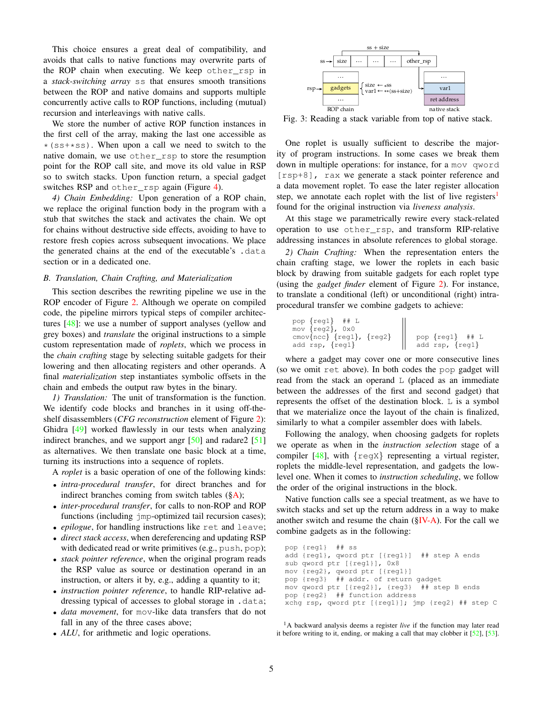This choice ensures a great deal of compatibility, and avoids that calls to native functions may overwrite parts of the ROP chain when executing. We keep other\_rsp in a *stack-switching array* ss that ensures smooth transitions between the ROP and native domains and supports multiple concurrently active calls to ROP functions, including (mutual) recursion and interleavings with native calls.

We store the number of active ROP function instances in the first cell of the array, making the last one accessible as  $*(ss+*s)$ . When upon a call we need to switch to the native domain, we use other\_rsp to store the resumption point for the ROP call site, and move its old value in RSP so to switch stacks. Upon function return, a special gadget switches RSP and other rsp again (Figure [4\)](#page-5-0).

*4) Chain Embedding:* Upon generation of a ROP chain, we replace the original function body in the program with a stub that switches the stack and activates the chain. We opt for chains without destructive side effects, avoiding to have to restore fresh copies across subsequent invocations. We place the generated chains at the end of the executable's .data section or in a dedicated one.

## <span id="page-4-4"></span>*B. Translation, Chain Crafting, and Materialization*

This section describes the rewriting pipeline we use in the ROP encoder of Figure [2.](#page-3-1) Although we operate on compiled code, the pipeline mirrors typical steps of compiler architectures [\[48\]](#page-12-12): we use a number of support analyses (yellow and grey boxes) and *translate* the original instructions to a simple custom representation made of *roplets*, which we process in the *chain crafting* stage by selecting suitable gadgets for their lowering and then allocating registers and other operands. A final *materialization* step instantiates symbolic offsets in the chain and embeds the output raw bytes in the binary.

<span id="page-4-2"></span>*1) Translation:* The unit of transformation is the function. We identify code blocks and branches in it using off-theshelf disassemblers (*CFG reconstruction* element of Figure [2\)](#page-3-1): Ghidra [\[49\]](#page-12-13) worked flawlessly in our tests when analyzing indirect branches, and we support angr [\[50\]](#page-12-14) and radare2 [\[51\]](#page-12-15) as alternatives. We then translate one basic block at a time, turning its instructions into a sequence of roplets.

A *roplet* is a basic operation of one of the following kinds:

- *intra-procedural transfer*, for direct branches and for indirect branches coming from switch tables  $(\S{A})$ ;
- *inter-procedural transfer*, for calls to non-ROP and ROP functions (including jmp-optimized tail recursion cases);
- *epilogue*, for handling instructions like ret and leave;
- *direct stack access*, when dereferencing and updating RSP with dedicated read or write primitives (e.g., push, pop);
- *stack pointer reference*, when the original program reads the RSP value as source or destination operand in an instruction, or alters it by, e.g., adding a quantity to it;
- *instruction pointer reference*, to handle RIP-relative addressing typical of accesses to global storage in .data;
- *data movement*, for mov-like data transfers that do not fall in any of the three cases above;
- *ALU*, for arithmetic and logic operations.

<span id="page-4-0"></span>

Fig. 3: Reading a stack variable from top of native stack.

One roplet is usually sufficient to describe the majority of program instructions. In some cases we break them down in multiple operations: for instance, for a mov qword [rsp+8], rax we generate a stack pointer reference and a data movement roplet. To ease the later register allocation step, we annotate each roplet with the list of live registers<sup>[1](#page-4-1)</sup> found for the original instruction via *liveness analysis*.

At this stage we parametrically rewire every stack-related operation to use other\_rsp, and transform RIP-relative addressing instances in absolute references to global storage.

<span id="page-4-3"></span>*2) Chain Crafting:* When the representation enters the chain crafting stage, we lower the roplets in each basic block by drawing from suitable gadgets for each roplet type (using the *gadget finder* element of Figure [2\)](#page-3-1). For instance, to translate a conditional (left) or unconditional (right) intraprocedural transfer we combine gadgets to achieve:

pop {reg1} ## L mov {reg2}, 0x0 cmov{ncc} {reg1}, {reg2} pop {reg1} ## L add rsp, {reg1} add rsp, {reg1}

where a gadget may cover one or more consecutive lines (so we omit ret above). In both codes the pop gadget will read from the stack an operand L (placed as an immediate between the addresses of the first and second gadget) that represents the offset of the destination block. L is a symbol that we materialize once the layout of the chain is finalized, similarly to what a compiler assembler does with labels.

Following the analogy, when choosing gadgets for roplets we operate as when in the *instruction selection* stage of a compiler [\[48\]](#page-12-12), with  $\{ \text{regx} \}$  representing a virtual register, roplets the middle-level representation, and gadgets the lowlevel one. When it comes to *instruction scheduling*, we follow the order of the original instructions in the block.

Native function calls see a special treatment, as we have to switch stacks and set up the return address in a way to make another switch and resume the chain  $(\S IV-A)$ . For the call we combine gadgets as in the following:

```
pop {reg1} ## ss
add {reg1}, qword ptr [{reg1}] ## step A ends
sub qword ptr [{reg1}], 0x8
mov {reg2}, qword ptr [{reg1}]
pop {reg3} ## addr. of return gadget
mov qword ptr [{reg2}], {reg3} ## step B ends
pop {reg2} ## function address
xchg rsp, qword ptr [{reg1}]; jmp {reg2} ## step C
```
<span id="page-4-1"></span><sup>1</sup>A backward analysis deems a register *live* if the function may later read it before writing to it, ending, or making a call that may clobber it [\[52\]](#page-12-16), [\[53\]](#page-12-17).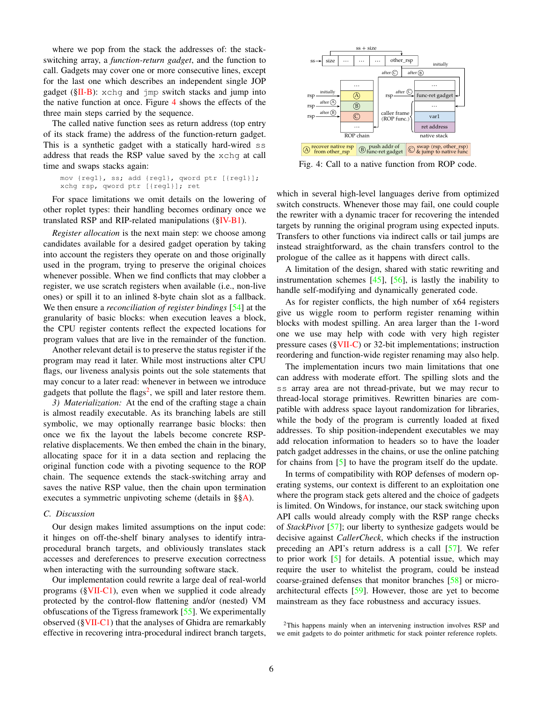where we pop from the stack the addresses of: the stackswitching array, a *function-return gadget*, and the function to call. Gadgets may cover one or more consecutive lines, except for the last one which describes an independent single JOP gadget ( $$II-B$ ): xchq and jmp switch stacks and jump into the native function at once. Figure [4](#page-5-0) shows the effects of the three main steps carried by the sequence.

The called native function sees as return address (top entry of its stack frame) the address of the function-return gadget. This is a synthetic gadget with a statically hard-wired ss address that reads the RSP value saved by the xchg at call time and swaps stacks again:

```
mov {reg1}, ss; add {reg1}, qword ptr [{reg1}];
xchg rsp, qword ptr [{reg1}]; ret
```
For space limitations we omit details on the lowering of other roplet types: their handling becomes ordinary once we translated RSP and RIP-related manipulations ([§IV-B1\)](#page-4-2).

*Register allocation* is the next main step: we choose among candidates available for a desired gadget operation by taking into account the registers they operate on and those originally used in the program, trying to preserve the original choices whenever possible. When we find conflicts that may clobber a register, we use scratch registers when available (i.e., non-live ones) or spill it to an inlined 8-byte chain slot as a fallback. We then ensure a *reconciliation of register bindings* [\[54\]](#page-12-18) at the granularity of basic blocks: when execution leaves a block, the CPU register contents reflect the expected locations for program values that are live in the remainder of the function.

Another relevant detail is to preserve the status register if the program may read it later. While most instructions alter CPU flags, our liveness analysis points out the sole statements that may concur to a later read: whenever in between we introduce gadgets that pollute the flags<sup>[2](#page-5-1)</sup>, we spill and later restore them.

<span id="page-5-2"></span>*3) Materialization:* At the end of the crafting stage a chain is almost readily executable. As its branching labels are still symbolic, we may optionally rearrange basic blocks: then once we fix the layout the labels become concrete RSPrelative displacements. We then embed the chain in the binary, allocating space for it in a data section and replacing the original function code with a pivoting sequence to the ROP chain. The sequence extends the stack-switching array and saves the native RSP value, then the chain upon termination executes a symmetric unpivoting scheme (details in §[§A\)](#page-13-0).

# <span id="page-5-3"></span>*C. Discussion*

Our design makes limited assumptions on the input code: it hinges on off-the-shelf binary analyses to identify intraprocedural branch targets, and obliviously translates stack accesses and dereferences to preserve execution correctness when interacting with the surrounding software stack.

Our implementation could rewrite a large deal of real-world programs  $(\S$ VII-C1), even when we supplied it code already protected by the control-flow flattening and/or (nested) VM obfuscations of the Tigress framework [\[55\]](#page-12-19). We experimentally observed ([§VII-C1\)](#page-10-0) that the analyses of Ghidra are remarkably effective in recovering intra-procedural indirect branch targets,

<span id="page-5-0"></span>

Fig. 4: Call to a native function from ROP code.

which in several high-level languages derive from optimized switch constructs. Whenever those may fail, one could couple the rewriter with a dynamic tracer for recovering the intended targets by running the original program using expected inputs. Transfers to other functions via indirect calls or tail jumps are instead straightforward, as the chain transfers control to the prologue of the callee as it happens with direct calls.

A limitation of the design, shared with static rewriting and instrumentation schemes  $[45]$ ,  $[56]$ , is lastly the inability to handle self-modifying and dynamically generated code.

As for register conflicts, the high number of x64 registers give us wiggle room to perform register renaming within blocks with modest spilling. An area larger than the 1-word one we use may help with code with very high register pressure cases ([§VII-C\)](#page-10-1) or 32-bit implementations; instruction reordering and function-wide register renaming may also help.

The implementation incurs two main limitations that one can address with moderate effort. The spilling slots and the ss array area are not thread-private, but we may recur to thread-local storage primitives. Rewritten binaries are compatible with address space layout randomization for libraries, while the body of the program is currently loaded at fixed addresses. To ship position-independent executables we may add relocation information to headers so to have the loader patch gadget addresses in the chains, or use the online patching for chains from [\[5\]](#page-11-4) to have the program itself do the update.

In terms of compatibility with ROP defenses of modern operating systems, our context is different to an exploitation one where the program stack gets altered and the choice of gadgets is limited. On Windows, for instance, our stack switching upon API calls would already comply with the RSP range checks of *StackPivot* [\[57\]](#page-12-22); our liberty to synthesize gadgets would be decisive against *CallerCheck*, which checks if the instruction preceding an API's return address is a call [\[57\]](#page-12-22). We refer to prior work [\[5\]](#page-11-4) for details. A potential issue, which may require the user to whitelist the program, could be instead coarse-grained defenses that monitor branches [\[58\]](#page-12-23) or microarchitectural effects [\[59\]](#page-12-24). However, those are yet to become mainstream as they face robustness and accuracy issues.

<span id="page-5-1"></span><sup>&</sup>lt;sup>2</sup>This happens mainly when an intervening instruction involves RSP and we emit gadgets to do pointer arithmetic for stack pointer reference roplets.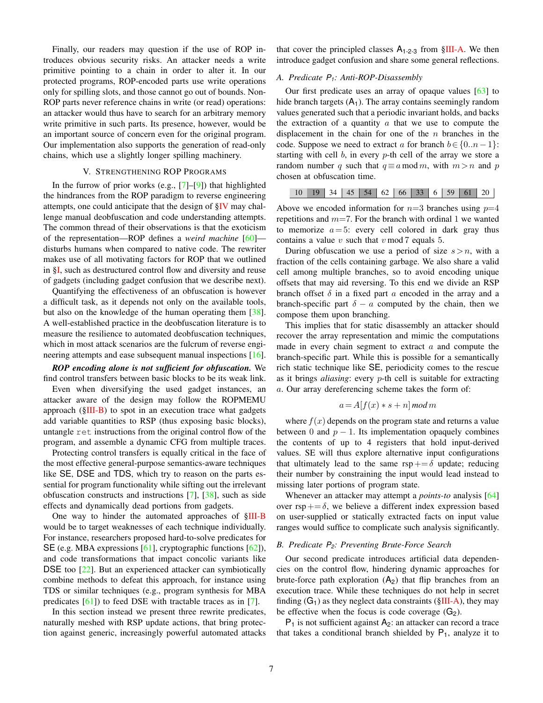Finally, our readers may question if the use of ROP introduces obvious security risks. An attacker needs a write primitive pointing to a chain in order to alter it. In our protected programs, ROP-encoded parts use write operations only for spilling slots, and those cannot go out of bounds. Non-ROP parts never reference chains in write (or read) operations: an attacker would thus have to search for an arbitrary memory write primitive in such parts. Its presence, however, would be an important source of concern even for the original program. Our implementation also supports the generation of read-only chains, which use a slightly longer spilling machinery.

# V. STRENGTHENING ROP PROGRAMS

<span id="page-6-0"></span>In the furrow of prior works (e.g.,  $[7]-[9]$  $[7]-[9]$  $[7]-[9]$ ) that highlighted the hindrances from the ROP paradigm to reverse engineering attempts, one could anticipate that the design of [§IV](#page-3-0) may challenge manual deobfuscation and code understanding attempts. The common thread of their observations is that the exoticism of the representation—ROP defines a *weird machine* [\[60\]](#page-12-25) disturbs humans when compared to native code. The rewriter makes use of all motivating factors for ROP that we outlined in [§I,](#page-0-0) such as destructured control flow and diversity and reuse of gadgets (including gadget confusion that we describe next).

Quantifying the effectiveness of an obfuscation is however a difficult task, as it depends not only on the available tools, but also on the knowledge of the human operating them [\[38\]](#page-12-4). A well-established practice in the deobfuscation literature is to measure the resilience to automated deobfuscation techniques, which in most attack scenarios are the fulcrum of reverse engi-neering attempts and ease subsequent manual inspections [\[16\]](#page-11-14).

# *ROP encoding alone is not sufficient for obfuscation.* We find control transfers between basic blocks to be its weak link.

Even when diversifying the used gadget instances, an attacker aware of the design may follow the ROPMEMU approach  $(\S$ III-B) to spot in an execution trace what gadgets add variable quantities to RSP (thus exposing basic blocks), untangle ret instructions from the original control flow of the program, and assemble a dynamic CFG from multiple traces.

Protecting control transfers is equally critical in the face of the most effective general-purpose semantics-aware techniques like SE, DSE and TDS, which try to reason on the parts essential for program functionality while sifting out the irrelevant obfuscation constructs and instructions [\[7\]](#page-11-6), [\[38\]](#page-12-4), such as side effects and dynamically dead portions from gadgets.

One way to hinder the automated approaches of [§III-B](#page-2-1) would be to target weaknesses of each technique individually. For instance, researchers proposed hard-to-solve predicates for SE (e.g. MBA expressions [\[61\]](#page-12-26), cryptographic functions [\[62\]](#page-12-27)), and code transformations that impact concolic variants like DSE too [\[22\]](#page-11-21). But an experienced attacker can symbiotically combine methods to defeat this approach, for instance using TDS or similar techniques (e.g., program synthesis for MBA predicates  $[61]$ ) to feed DSE with tractable traces as in  $[7]$ .

In this section instead we present three rewrite predicates, naturally meshed with RSP update actions, that bring protection against generic, increasingly powerful automated attacks

that cover the principled classes  $A_{1-2-3}$  from  $\S$ III-A. We then introduce gadget confusion and share some general reflections.

# *A. Predicate P1: Anti-ROP-Disassembly*

Our first predicate uses an array of opaque values [\[63\]](#page-12-28) to hide branch targets  $(A_1)$ . The array contains seemingly random values generated such that a periodic invariant holds, and backs the extraction of a quantity  $\alpha$  that we use to compute the displacement in the chain for one of the  $n$  branches in the code. Suppose we need to extract a for branch  $b \in \{0..n-1\}$ : starting with cell  $b$ , in every  $p$ -th cell of the array we store a random number q such that  $q \equiv a \mod m$ , with  $m > n$  and p chosen at obfuscation time.

|  |  |  |  | 10 19 34 45 54 62 66 33 6 59 61 20 |  |  |  |  |  |  |  |  |
|--|--|--|--|------------------------------------|--|--|--|--|--|--|--|--|
|--|--|--|--|------------------------------------|--|--|--|--|--|--|--|--|

Above we encoded information for  $n=3$  branches using  $p=4$ repetitions and  $m=7$ . For the branch with ordinal 1 we wanted to memorize  $a = 5$ : every cell colored in dark gray thus contains a value  $v$  such that  $v \mod 7$  equals 5.

During obfuscation we use a period of size  $s > n$ , with a fraction of the cells containing garbage. We also share a valid cell among multiple branches, so to avoid encoding unique offsets that may aid reversing. To this end we divide an RSP branch offset  $\delta$  in a fixed part a encoded in the array and a branch-specific part  $\delta - a$  computed by the chain, then we compose them upon branching.

This implies that for static disassembly an attacker should recover the array representation and mimic the computations made in every chain segment to extract  $a$  and compute the branch-specific part. While this is possible for a semantically rich static technique like SE, periodicity comes to the rescue as it brings *aliasing*: every p-th cell is suitable for extracting a. Our array dereferencing scheme takes the form of:

$$
a = A[f(x) * s + n] \mod m
$$

where  $f(x)$  depends on the program state and returns a value between 0 and  $p - 1$ . Its implementation opaquely combines the contents of up to 4 registers that hold input-derived values. SE will thus explore alternative input configurations that ultimately lead to the same  $\text{rsp} += \delta$  update; reducing their number by constraining the input would lead instead to missing later portions of program state.

Whenever an attacker may attempt a *points-to* analysis [\[64\]](#page-12-29) over  $\text{rsp}+=\delta$ , we believe a different index expression based on user-supplied or statically extracted facts on input value ranges would suffice to complicate such analysis significantly.

## *B. Predicate P2: Preventing Brute-Force Search*

Our second predicate introduces artificial data dependencies on the control flow, hindering dynamic approaches for brute-force path exploration  $(A_2)$  that flip branches from an execution trace. While these techniques do not help in secret finding  $(G_1)$  as they neglect data constraints ( $\S$ III-A), they may be effective when the focus is code coverage  $(G_2)$ .

 $P_1$  is not sufficient against  $A_2$ : an attacker can record a trace that takes a conditional branch shielded by  $P_1$ , analyze it to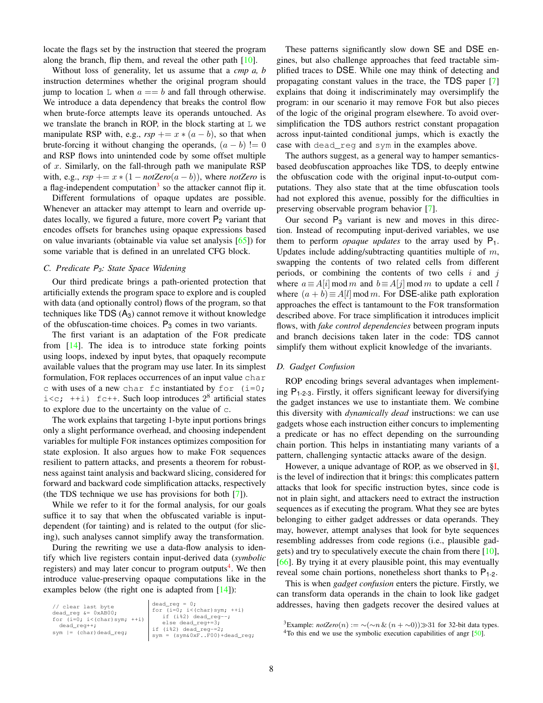locate the flags set by the instruction that steered the program along the branch, flip them, and reveal the other path [\[10\]](#page-11-7).

Without loss of generality, let us assume that a *cmp a, b* instruction determines whether the original program should jump to location  $\mathbb L$  when  $a == b$  and fall through otherwise. We introduce a data dependency that breaks the control flow when brute-force attempts leave its operands untouched. As we translate the branch in ROP, in the block starting at  $L$  we manipulate RSP with, e.g.,  $rsp == x * (a - b)$ , so that when brute-forcing it without changing the operands,  $(a - b)$ != 0 and RSP flows into unintended code by some offset multiple of  $x$ . Similarly, on the fall-through path we manipulate RSP with, e.g.,  $rsp$  +=  $x$  \*  $(1 - notZero(a - b))$ , where *notZero* is a flag-independent computation<sup>[3](#page-0-1)</sup> so the attacker cannot flip it.

Different formulations of opaque updates are possible. Whenever an attacker may attempt to learn and override updates locally, we figured a future, more covert  $P_2$  variant that encodes offsets for branches using opaque expressions based on value invariants (obtainable via value set analysis  $[65]$ ) for some variable that is defined in an unrelated CFG block.

# <span id="page-7-1"></span>*C. Predicate P3: State Space Widening*

Our third predicate brings a path-oriented protection that artificially extends the program space to explore and is coupled with data (and optionally control) flows of the program, so that techniques like  $TDS (A_3)$  cannot remove it without knowledge of the obfuscation-time choices.  $P_3$  comes in two variants.

The first variant is an adaptation of the FOR predicate from  $[14]$ . The idea is to introduce state forking points using loops, indexed by input bytes, that opaquely recompute available values that the program may use later. In its simplest formulation, FOR replaces occurrences of an input value char c with uses of a new char fc instantiated by for  $(i=0;$  $i < c$ ; ++i) fc++. Such loop introduces  $2<sup>8</sup>$  artificial states to explore due to the uncertainty on the value of c.

The work explains that targeting 1-byte input portions brings only a slight performance overhead, and choosing independent variables for multiple FOR instances optimizes composition for state explosion. It also argues how to make FOR sequences resilient to pattern attacks, and presents a theorem for robustness against taint analysis and backward slicing, considered for forward and backward code simplification attacks, respectively (the TDS technique we use has provisions for both [\[7\]](#page-11-6)).

While we refer to it for the formal analysis, for our goals suffice it to say that when the obfuscated variable is inputdependent (for tainting) and is related to the output (for slicing), such analyses cannot simplify away the transformation.

During the rewriting we use a data-flow analysis to identify which live registers contain input-derived data (*symbolic* registers) and may later concur to program outputs<sup>[4](#page-7-0)</sup>. We then introduce value-preserving opaque computations like in the examples below (the right one is adapted from  $[14]$ ):

| // clear last byte<br>dead req $\&= 0xAB00$ ;<br>for $(i=0; i<(char)sym; ++i)$<br>$dead_req++;$<br>sym $  = (char) dead_reg;$ | $\vert$ dead_reg = 0;<br>for $(i=0; i<(char)sym; ++i)$<br>if $(i§2)$ dead req--;<br>else dead_reg+=3;<br>if (i%2) dead_reg-=2;<br>$sym = (sym&0xFF00)+dead_reg;$ |
|-------------------------------------------------------------------------------------------------------------------------------|------------------------------------------------------------------------------------------------------------------------------------------------------------------|
|-------------------------------------------------------------------------------------------------------------------------------|------------------------------------------------------------------------------------------------------------------------------------------------------------------|

These patterns significantly slow down SE and DSE engines, but also challenge approaches that feed tractable simplified traces to DSE. While one may think of detecting and propagating constant values in the trace, the TDS paper [\[7\]](#page-11-6) explains that doing it indiscriminately may oversimplify the program: in our scenario it may remove FOR but also pieces of the logic of the original program elsewhere. To avoid oversimplification the TDS authors restrict constant propagation across input-tainted conditional jumps, which is exactly the case with dead\_reg and sym in the examples above.

The authors suggest, as a general way to hamper semanticsbased deobfuscation approaches like TDS, to deeply entwine the obfuscation code with the original input-to-output computations. They also state that at the time obfuscation tools had not explored this avenue, possibly for the difficulties in preserving observable program behavior [\[7\]](#page-11-6).

Our second  $P_3$  variant is new and moves in this direction. Instead of recomputing input-derived variables, we use them to perform *opaque updates* to the array used by  $P_1$ . Updates include adding/subtracting quantities multiple of  $m$ , swapping the contents of two related cells from different periods, or combining the contents of two cells  $i$  and  $j$ where  $a \equiv A[i] \mod m$  and  $b \equiv A[i] \mod m$  to update a cell l where  $(a + b) \equiv A[l] \mod m$ . For DSE-alike path exploration approaches the effect is tantamount to the FOR transformation described above. For trace simplification it introduces implicit flows, with *fake control dependencies* between program inputs and branch decisions taken later in the code: TDS cannot simplify them without explicit knowledge of the invariants.

## *D. Gadget Confusion*

ROP encoding brings several advantages when implementing  $P_{1-2-3}$ . Firstly, it offers significant leeway for diversifying the gadget instances we use to instantiate them. We combine this diversity with *dynamically dead* instructions: we can use gadgets whose each instruction either concurs to implementing a predicate or has no effect depending on the surrounding chain portion. This helps in instantiating many variants of a pattern, challenging syntactic attacks aware of the design.

However, a unique advantage of ROP, as we observed in [§I,](#page-0-0) is the level of indirection that it brings: this complicates pattern attacks that look for specific instruction bytes, since code is not in plain sight, and attackers need to extract the instruction sequences as if executing the program. What they see are bytes belonging to either gadget addresses or data operands. They may, however, attempt analyses that look for byte sequences resembling addresses from code regions (i.e., plausible gadgets) and try to speculatively execute the chain from there [\[10\]](#page-11-7), [\[66\]](#page-12-31). By trying it at every plausible point, this may eventually reveal some chain portions, nonetheless short thanks to  $P_{1-2}$ .

This is when *gadget confusion* enters the picture. Firstly, we can transform data operands in the chain to look like gadget addresses, having then gadgets recover the desired values at

<sup>&</sup>lt;sup>3</sup>Example: *notZero*(n) := ~(~n & (n + ~0)) $\gg$ 31 for 32-bit data types.

<span id="page-7-0"></span> $4$ To this end we use the symbolic execution capabilities of angr  $[50]$ .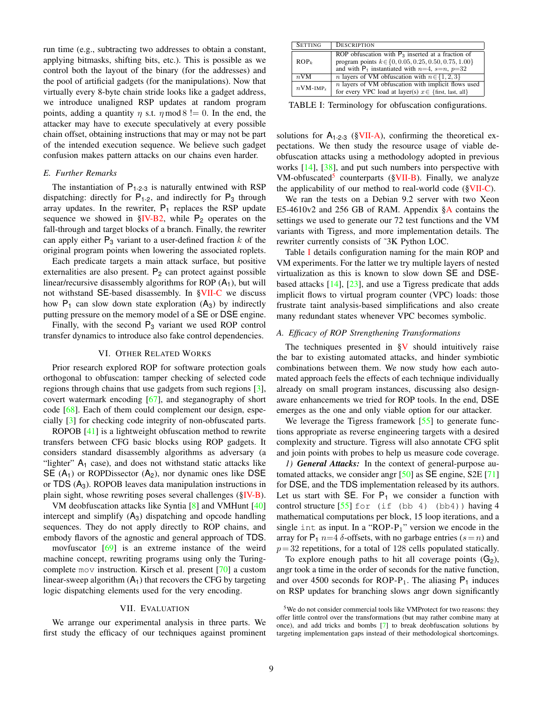run time (e.g., subtracting two addresses to obtain a constant, applying bitmasks, shifting bits, etc.). This is possible as we control both the layout of the binary (for the addresses) and the pool of artificial gadgets (for the manipulations). Now that virtually every 8-byte chain stride looks like a gadget address, we introduce unaligned RSP updates at random program points, adding a quantity  $\eta$  s.t.  $\eta$  mod 8 != 0. In the end, the attacker may have to execute speculatively at every possible chain offset, obtaining instructions that may or may not be part of the intended execution sequence. We believe such gadget confusion makes pattern attacks on our chains even harder.

## <span id="page-8-4"></span>*E. Further Remarks*

The instantiation of  $P_{1-2-3}$  is naturally entwined with RSP dispatching: directly for  $P_{1-2}$ , and indirectly for  $P_3$  through array updates. In the rewriter,  $P_1$  replaces the RSP update sequence we showed in  $\S$ IV-B2, while  $P_2$  operates on the fall-through and target blocks of a branch. Finally, the rewriter can apply either  $P_3$  variant to a user-defined fraction k of the original program points when lowering the associated roplets.

Each predicate targets a main attack surface, but positive externalities are also present.  $P_2$  can protect against possible linear/recursive disassembly algorithms for ROP  $(A_1)$ , but will not withstand SE-based disassembly. In [§VII-C](#page-10-1) we discuss how  $P_1$  can slow down state exploration  $(A_3)$  by indirectly putting pressure on the memory model of a SE or DSE engine.

Finally, with the second  $P_3$  variant we used ROP control transfer dynamics to introduce also fake control dependencies.

## VI. OTHER RELATED WORKS

Prior research explored ROP for software protection goals orthogonal to obfuscation: tamper checking of selected code regions through chains that use gadgets from such regions [\[3\]](#page-11-2), covert watermark encoding [\[67\]](#page-12-32), and steganography of short code [\[68\]](#page-12-33). Each of them could complement our design, especially [\[3\]](#page-11-2) for checking code integrity of non-obfuscated parts.

ROPOB [\[41\]](#page-12-7) is a lightweight obfuscation method to rewrite transfers between CFG basic blocks using ROP gadgets. It considers standard disassembly algorithms as adversary (a "lighter"  $A_1$  case), and does not withstand static attacks like SE  $(A_1)$  or ROPDissector  $(A_2)$ , nor dynamic ones like DSE or TDS  $(A_3)$ . ROPOB leaves data manipulation instructions in plain sight, whose rewriting poses several challenges ([§IV-B\)](#page-4-4).

VM deobfuscation attacks like Syntia [\[8\]](#page-11-20) and VMHunt [\[40\]](#page-12-6) intercept and simplify  $(A_3)$  dispatching and opcode handling sequences. They do not apply directly to ROP chains, and embody flavors of the agnostic and general approach of TDS.

movfuscator [\[69\]](#page-12-34) is an extreme instance of the weird machine concept, rewriting programs using only the Turingcomplete mov instruction. Kirsch et al. present [\[70\]](#page-12-35) a custom linear-sweep algorithm  $(A_1)$  that recovers the CFG by targeting logic dispatching elements used for the very encoding.

## VII. EVALUATION

<span id="page-8-0"></span>We arrange our experimental analysis in three parts. We first study the efficacy of our techniques against prominent

<span id="page-8-3"></span>

| <b>SETTING</b>          | <b>DESCRIPTION</b>                                                                                                                                                            |
|-------------------------|-------------------------------------------------------------------------------------------------------------------------------------------------------------------------------|
| $ROP_k$                 | ROP obfuscation with $P_3$ inserted at a fraction of<br>program points $k \in \{0, 0.05, 0.25, 0.50, 0.75, 1.00\}$<br>and with $P_1$ instantiated with $n=4$ , $s=n$ , $p=32$ |
| $n$ VM                  | <i>n</i> layers of VM obfuscation with $n \in \{1, 2, 3\}$                                                                                                                    |
| $nVM$ -IMP <sub>x</sub> | $n$ layers of VM obfuscation with implicit flows used<br>for every VPC load at layer(s) $x \in \{\text{first, last, all}\}\$                                                  |

TABLE I: Terminology for obfuscation configurations.

solutions for  $A_{1-2-3}$  ([§VII-A\)](#page-8-1), confirming the theoretical expectations. We then study the resource usage of viable deobfuscation attacks using a methodology adopted in previous works [\[14\]](#page-11-12), [\[38\]](#page-12-4), and put such numbers into perspective with VM-obfuscated<sup>[5](#page-8-2)</sup> counterparts ([§VII-B\)](#page-9-0). Finally, we analyze the applicability of our method to real-world code ([§VII-C\)](#page-10-1).

We ran the tests on a Debian 9.2 server with two Xeon E5-4610v2 and 256 GB of RAM. Appendix [§A](#page-13-0) contains the settings we used to generate our 72 test functions and the VM variants with Tigress, and more implementation details. The rewriter currently consists of ˜3K Python LOC.

Table [I](#page-8-3) details configuration naming for the main ROP and VM experiments. For the latter we try multiple layers of nested virtualization as this is known to slow down SE and DSEbased attacks [\[14\]](#page-11-12), [\[23\]](#page-11-31), and use a Tigress predicate that adds implicit flows to virtual program counter (VPC) loads: those frustrate taint analysis-based simplifications and also create many redundant states whenever VPC becomes symbolic.

## <span id="page-8-1"></span>*A. Efficacy of ROP Strengthening Transformations*

The techniques presented in  $\gamma$  should intuitively raise the bar to existing automated attacks, and hinder symbiotic combinations between them. We now study how each automated approach feels the effects of each technique individually already on small program instances, discussing also designaware enhancements we tried for ROP tools. In the end, DSE emerges as the one and only viable option for our attacker.

We leverage the Tigress framework [\[55\]](#page-12-19) to generate functions appropriate as reverse engineering targets with a desired complexity and structure. Tigress will also annotate CFG split and join points with probes to help us measure code coverage.

*1) General Attacks:* In the context of general-purpose automated attacks, we consider angr [\[50\]](#page-12-14) as SE engine, S2E [\[71\]](#page-12-36) for DSE, and the TDS implementation released by its authors. Let us start with  $SE$ . For  $P_1$  we consider a function with control structure  $[55]$  for (if (bb 4) (bb4)) having 4 mathematical computations per block, 15 loop iterations, and a single int as input. In a "ROP- $P_1$ " version we encode in the array for  $P_1$   $n=4$   $\delta$ -offsets, with no garbage entries  $(s=n)$  and  $p=32$  repetitions, for a total of 128 cells populated statically.

To explore enough paths to hit all coverage points  $(G_2)$ , angr took a time in the order of seconds for the native function, and over 4500 seconds for ROP- $P_1$ . The aliasing  $P_1$  induces on RSP updates for branching slows angr down significantly

<span id="page-8-2"></span><sup>&</sup>lt;sup>5</sup>We do not consider commercial tools like VMProtect for two reasons: they offer little control over the transformations (but may rather combine many at once), and add tricks and bombs [\[7\]](#page-11-6) to break deobfuscation solutions by targeting implementation gaps instead of their methodological shortcomings.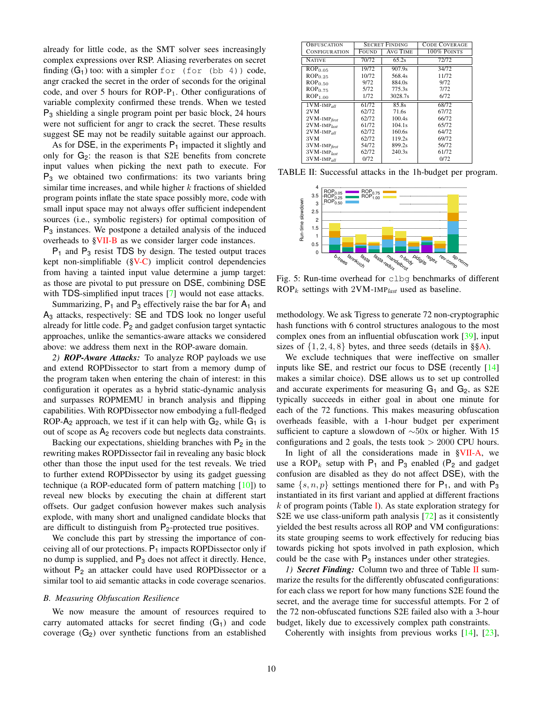already for little code, as the SMT solver sees increasingly complex expressions over RSP. Aliasing reverberates on secret finding  $(G_1)$  too: with a simpler for (for (bb 4)) code, angr cracked the secret in the order of seconds for the original code, and over 5 hours for ROP- $P_1$ . Other configurations of variable complexity confirmed these trends. When we tested P<sup>3</sup> shielding a single program point per basic block, 24 hours were not sufficient for angr to crack the secret. These results suggest SE may not be readily suitable against our approach.

As for DSE, in the experiments  $P_1$  impacted it slightly and only for  $G_2$ : the reason is that S2E benefits from concrete input values when picking the next path to execute. For  $P_3$  we obtained two confirmations: its two variants bring similar time increases, and while higher  $k$  fractions of shielded program points inflate the state space possibly more, code with small input space may not always offer sufficient independent sources (i.e., symbolic registers) for optimal composition of P<sup>3</sup> instances. We postpone a detailed analysis of the induced overheads to [§VII-B](#page-9-0) as we consider larger code instances.

 $P_1$  and  $P_3$  resist TDS by design. The tested output traces kept non-simplifiable ([§V-C\)](#page-7-1) implicit control dependencies from having a tainted input value determine a jump target: as those are pivotal to put pressure on DSE, combining DSE with TDS-simplified input traces [\[7\]](#page-11-6) would not ease attacks.

Summarizing,  $P_1$  and  $P_3$  effectively raise the bar for  $A_1$  and A<sup>3</sup> attacks, respectively: SE and TDS look no longer useful already for little code.  $P_2$  and gadget confusion target syntactic approaches, unlike the semantics-aware attacks we considered above: we address them next in the ROP-aware domain.

*2) ROP-Aware Attacks:* To analyze ROP payloads we use and extend ROPDissector to start from a memory dump of the program taken when entering the chain of interest: in this configuration it operates as a hybrid static-dynamic analysis and surpasses ROPMEMU in branch analysis and flipping capabilities. With ROPDissector now embodying a full-fledged ROP- $A_2$  approach, we test if it can help with  $G_2$ , while  $G_1$  is out of scope as A<sup>2</sup> recovers code but neglects data constraints.

Backing our expectations, shielding branches with  $P_2$  in the rewriting makes ROPDissector fail in revealing any basic block other than those the input used for the test reveals. We tried to further extend ROPDissector by using its gadget guessing technique (a ROP-educated form of pattern matching [\[10\]](#page-11-7)) to reveal new blocks by executing the chain at different start offsets. Our gadget confusion however makes such analysis explode, with many short and unaligned candidate blocks that are difficult to distinguish from  $P_2$ -protected true positives.

We conclude this part by stressing the importance of conceiving all of our protections.  $P_1$  impacts ROPDissector only if no dump is supplied, and  $P_3$  does not affect it directly. Hence, without  $P_2$  an attacker could have used ROPDissector or a similar tool to aid semantic attacks in code coverage scenarios.

## <span id="page-9-0"></span>*B. Measuring Obfuscation Resilience*

We now measure the amount of resources required to carry automated attacks for secret finding  $(G_1)$  and code coverage  $(G_2)$  over synthetic functions from an established

<span id="page-9-1"></span>

| <b>OBFUSCATION</b>         |       | <b>SECRET FINDING</b> | <b>CODE COVERAGE</b> |  |  |  |
|----------------------------|-------|-----------------------|----------------------|--|--|--|
| CONFIGURATION              | FOUND | AVG TIME              | 100% POINTS          |  |  |  |
| <b>NATIVE</b>              | 70/72 | 65.2s                 | 72/72                |  |  |  |
| $\overline{R}OP_{0.05}$    | 19/72 | 907.9s                | 34/72                |  |  |  |
| ROP <sub>0.25</sub>        | 10/72 | 568.4s                | 11/72                |  |  |  |
| ROP <sub>0.50</sub>        | 9/72  | 884.0s                | 9/72                 |  |  |  |
| $ROP_{0.75}$               | 5/72  | 775.3s                | 7/72                 |  |  |  |
| ROP <sub>1.00</sub>        | 1/72  | 3028.7s               | 6/72                 |  |  |  |
| $1$ VM-IMP <sub>all</sub>  | 61/72 | 85.8s                 | 68/72                |  |  |  |
| 2VM                        | 62/72 | 71.6s                 | 67/72                |  |  |  |
| $2VM$ -IMP $_{first}$      | 62/72 | 100.4s                | 66/72                |  |  |  |
| $2VM$ -IMP <sub>last</sub> | 61/72 | 104.1s                | 65/72                |  |  |  |
| $2VM$ -IMP $_{all}$        | 62/72 | 160.6s                | 64/72                |  |  |  |
| 3VM                        | 62/72 | 119.2s                | 69/72                |  |  |  |
| 3VM-IMPfirst               | 54/72 | 899.2s                | 56/72                |  |  |  |
| $3VM$ -IMP <sub>last</sub> | 62/72 | 240.3s                | 61/72                |  |  |  |
| $3VM$ -IMP $_{all}$        | 0/72  |                       | 0/72                 |  |  |  |

<span id="page-9-2"></span>TABLE II: Successful attacks in the 1h-budget per program.



Fig. 5: Run-time overhead for clbg benchmarks of different  $ROP_k$  settings with 2VM-IMP<sub>last</sub> used as baseline.

methodology. We ask Tigress to generate 72 non-cryptographic hash functions with 6 control structures analogous to the most complex ones from an influential obfuscation work [\[39\]](#page-12-5), input sizes of  $\{1, 2, 4, 8\}$  bytes, and three seeds (details in §[§A\)](#page-13-0).

We exclude techniques that were ineffective on smaller inputs like SE, and restrict our focus to DSE (recently [\[14\]](#page-11-12) makes a similar choice). DSE allows us to set up controlled and accurate experiments for measuring  $G_1$  and  $G_2$ , as S2E typically succeeds in either goal in about one minute for each of the 72 functions. This makes measuring obfuscation overheads feasible, with a 1-hour budget per experiment sufficient to capture a slowdown of ∼50x or higher. With 15 configurations and 2 goals, the tests took  $> 2000$  CPU hours.

In light of all the considerations made in [§VII-A,](#page-8-1) we use a  $ROP_k$  setup with  $P_1$  and  $P_3$  enabled ( $P_2$  and gadget confusion are disabled as they do not affect DSE), with the same  $\{s, n, p\}$  settings mentioned there for  $P_1$ , and with  $P_3$ instantiated in its first variant and applied at different fractions  $k$  of program points (Table [I\)](#page-8-3). As state exploration strategy for S2E we use class-uniform path analysis [\[72\]](#page-13-1) as it consistently yielded the best results across all ROP and VM configurations: its state grouping seems to work effectively for reducing bias towards picking hot spots involved in path explosion, which could be the case with  $P_3$  instances under other strategies.

*1) Secret Finding:* Column two and three of Table [II](#page-9-1) summarize the results for the differently obfuscated configurations: for each class we report for how many functions S2E found the secret, and the average time for successful attempts. For 2 of the 72 non-obfuscated functions S2E failed also with a 3-hour budget, likely due to excessively complex path constraints.

Coherently with insights from previous works [\[14\]](#page-11-12), [\[23\]](#page-11-31),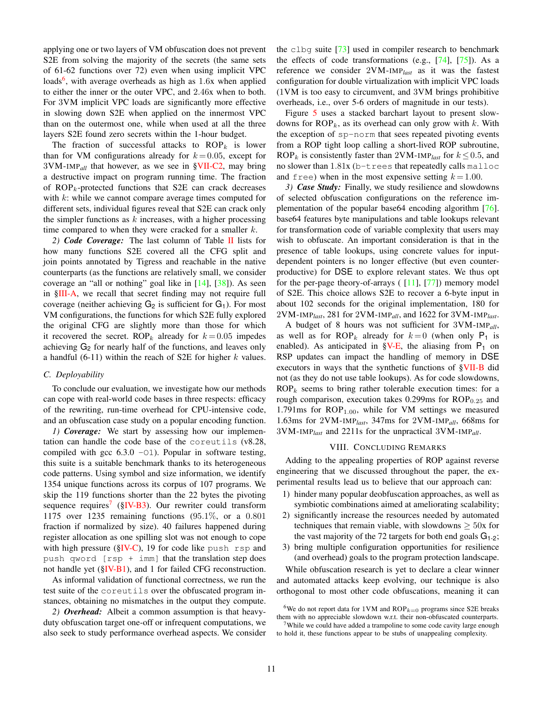applying one or two layers of VM obfuscation does not prevent S2E from solving the majority of the secrets (the same sets of 61-62 functions over 72) even when using implicit VPC loads<sup>[6](#page-0-1)</sup>, with average overheads as high as 1.6x when applied to either the inner or the outer VPC, and 2.46x when to both. For 3VM implicit VPC loads are significantly more effective in slowing down S2E when applied on the innermost VPC than on the outermost one, while when used at all the three layers S2E found zero secrets within the 1-hour budget.

The fraction of successful attacks to  $ROP_k$  is lower than for VM configurations already for  $k = 0.05$ , except for 3VM-IMP*all* that however, as we see in [§VII-C2,](#page-10-2) may bring a destructive impact on program running time. The fraction of  $ROP_k$ -protected functions that S2E can crack decreases with k: while we cannot compare average times computed for different sets, individual figures reveal that S2E can crack only the simpler functions as  $k$  increases, with a higher processing time compared to when they were cracked for a smaller  $k$ .

*2) Code Coverage:* The last column of Table [II](#page-9-1) lists for how many functions S2E covered all the CFG split and join points annotated by Tigress and reachable in the native counterparts (as the functions are relatively small, we consider coverage an "all or nothing" goal like in [\[14\]](#page-11-12), [\[38\]](#page-12-4)). As seen in [§III-A,](#page-2-2) we recall that secret finding may not require full coverage (neither achieving  $G_2$  is sufficient for  $G_1$ ). For most VM configurations, the functions for which S2E fully explored the original CFG are slightly more than those for which it recovered the secret. ROP<sub>k</sub> already for  $k = 0.05$  impedes achieving G<sub>2</sub> for nearly half of the functions, and leaves only a handful (6-11) within the reach of S2E for higher  $k$  values.

## <span id="page-10-1"></span>*C. Deployability*

To conclude our evaluation, we investigate how our methods can cope with real-world code bases in three respects: efficacy of the rewriting, run-time overhead for CPU-intensive code, and an obfuscation case study on a popular encoding function.

<span id="page-10-0"></span>*1) Coverage:* We start by assessing how our implementation can handle the code base of the coreutils (v8.28, compiled with gcc  $6.3.0$  -O1). Popular in software testing, this suite is a suitable benchmark thanks to its heterogeneous code patterns. Using symbol and size information, we identify 1354 unique functions across its corpus of 107 programs. We skip the 119 functions shorter than the 22 bytes the pivoting sequence requires<sup>[7](#page-0-1)</sup> ([§IV-B3\)](#page-5-2). Our rewriter could transform 1175 over 1235 remaining functions (95.1%, or a 0.801 fraction if normalized by size). 40 failures happened during register allocation as one spilling slot was not enough to cope with high pressure ( $\frac{\text{SIV-C}}{19}$ , 19 for code like push rsp and push qword  $[rsp + imm]$  that the translation step does not handle yet ([§IV-B1\)](#page-4-2), and 1 for failed CFG reconstruction.

As informal validation of functional correctness, we run the test suite of the coreutils over the obfuscated program instances, obtaining no mismatches in the output they compute.

<span id="page-10-2"></span>*2) Overhead:* Albeit a common assumption is that heavyduty obfuscation target one-off or infrequent computations, we also seek to study performance overhead aspects. We consider the clbg suite [\[73\]](#page-13-2) used in compiler research to benchmark the effects of code transformations (e.g.,  $[74]$ ,  $[75]$ ). As a reference we consider 2VM-IMP*last* as it was the fastest configuration for double virtualization with implicit VPC loads (1VM is too easy to circumvent, and 3VM brings prohibitive overheads, i.e., over 5-6 orders of magnitude in our tests).

Figure [5](#page-9-2) uses a stacked barchart layout to present slowdowns for  $ROP_k$ , as its overhead can only grow with k. With the exception of sp-norm that sees repeated pivoting events from a ROP tight loop calling a short-lived ROP subroutine, ROP<sub>k</sub> is consistently faster than 2VM-IMP<sub>last</sub> for  $k \le 0.5$ , and no slower than 1.81x (b-trees that repeatedly calls malloc and free) when in the most expensive setting  $k = 1.00$ .

*3) Case Study:* Finally, we study resilience and slowdowns of selected obfuscation configurations on the reference implementation of the popular base64 encoding algorithm [\[76\]](#page-13-5). base64 features byte manipulations and table lookups relevant for transformation code of variable complexity that users may wish to obfuscate. An important consideration is that in the presence of table lookups, using concrete values for inputdependent pointers is no longer effective (but even counterproductive) for DSE to explore relevant states. We thus opt for the per-page theory-of-arrays  $([11], [77])$  $([11], [77])$  $([11], [77])$  $([11], [77])$  $([11], [77])$  memory model of S2E. This choice allows S2E to recover a 6-byte input in about 102 seconds for the original implementation, 180 for 2VM-IMP*last*, 281 for 2VM-IMP*all*, and 1622 for 3VM-IMP*last*.

A budget of 8 hours was not sufficient for 3VM-IMP*all*, as well as for ROP<sub>k</sub> already for  $k=0$  (when only P<sub>1</sub> is enabled). As anticipated in  $\S$ V-E, the aliasing from  $P_1$  on RSP updates can impact the handling of memory in DSE executors in ways that the synthetic functions of [§VII-B](#page-9-0) did not (as they do not use table lookups). As for code slowdowns,  $ROP_k$  seems to bring rather tolerable execution times: for a rough comparison, execution takes  $0.299$ ms for  $ROP<sub>0.25</sub>$  and 1.791ms for  $ROP<sub>1.00</sub>$ , while for VM settings we measured 1.63ms for 2VM-IMP*last*, 347ms for 2VM-IMP*all*, 668ms for 3VM-IMP*last* and 2211s for the unpractical 3VM-IMP*all*.

## VIII. CONCLUDING REMARKS

Adding to the appealing properties of ROP against reverse engineering that we discussed throughout the paper, the experimental results lead us to believe that our approach can:

- 1) hinder many popular deobfuscation approaches, as well as symbiotic combinations aimed at ameliorating scalability;
- 2) significantly increase the resources needed by automated techniques that remain viable, with slowdowns  $\geq 50x$  for the vast majority of the 72 targets for both end goals  $G_{1-2}$ ;
- 3) bring multiple configuration opportunities for resilience (and overhead) goals to the program protection landscape.

While obfuscation research is yet to declare a clear winner and automated attacks keep evolving, our technique is also orthogonal to most other code obfuscations, meaning it can

<sup>&</sup>lt;sup>6</sup>We do not report data for 1VM and  $ROP_{k=0}$  programs since S2E breaks them with no appreciable slowdown w.r.t. their non-obfuscated counterparts.

 $7$ While we could have added a trampoline to some code cavity large enough to hold it, these functions appear to be stubs of unappealing complexity.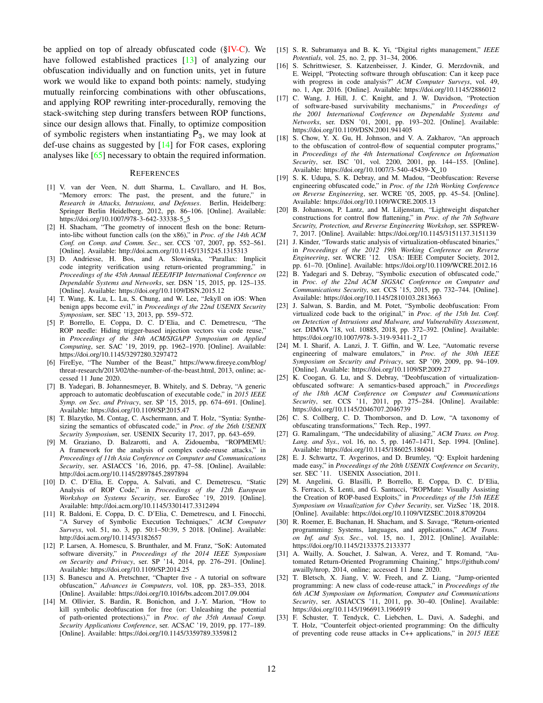be applied on top of already obfuscated code  $(\S$ IV-C). We have followed established practices [\[13\]](#page-11-11) of analyzing our obfuscation individually and on function units, yet in future work we would like to expand both points: namely, studying mutually reinforcing combinations with other obfuscations, and applying ROP rewriting inter-procedurally, removing the stack-switching step during transfers between ROP functions, since our design allows that. Finally, to optimize composition of symbolic registers when instantiating  $P_3$ , we may look at def-use chains as suggested by [\[14\]](#page-11-12) for FOR cases, exploring analyses like [\[65\]](#page-12-30) necessary to obtain the required information.

### REFERENCES

- <span id="page-11-0"></span>[1] V. van der Veen, N. dutt Sharma, L. Cavallaro, and H. Bos, "Memory errors: The past, the present, and the future," in *Research in Attacks, Intrusions, and Defenses*. Berlin, Heidelberg: Springer Berlin Heidelberg, 2012, pp. 86–106. [Online]. Available: [https://doi.org/10.1007/978-3-642-33338-5](https://doi.org/10.1007/978-3-642-33338-5_5)\_5
- <span id="page-11-1"></span>[2] H. Shacham, "The geometry of innocent flesh on the bone: Returninto-libc without function calls (on the x86)," in *Proc. of the 14th ACM Conf. on Comp. and Comm. Sec.*, ser. CCS '07, 2007, pp. 552–561. [Online]. Available: <http://doi.acm.org/10.1145/1315245.1315313>
- <span id="page-11-2"></span>[3] D. Andriesse, H. Bos, and A. Slowinska, "Parallax: Implicit code integrity verification using return-oriented programming," in *Proceedings of the 45th Annual IEEE/IFIP International Conference on Dependable Systems and Networks*, ser. DSN '15, 2015, pp. 125–135. [Online]. Available: <https://doi.org/10.1109/DSN.2015.12>
- <span id="page-11-3"></span>[4] T. Wang, K. Lu, L. Lu, S. Chung, and W. Lee, "Jekyll on iOS: When benign apps become evil," in *Proceedings of the 22nd USENIX Security Symposium*, ser. SEC '13, 2013, pp. 559–572.
- <span id="page-11-4"></span>[5] P. Borrello, E. Coppa, D. C. D'Elia, and C. Demetrescu, "The ROP needle: Hiding trigger-based injection vectors via code reuse," in *Proceedings of the 34th ACM/SIGAPP Symposium on Applied Computing*, ser. SAC '19, 2019, pp. 1962–1970. [Online]. Available: <https://doi.org/10.1145/3297280.3297472>
- <span id="page-11-5"></span>[6] FireEye, "The Number of the Beast," [https://www.fireeye.com/blog/](https://www.fireeye.com/blog/threat-research/2013/02/the-number-of-the-beast.html) [threat-research/2013/02/the-number-of-the-beast.html,](https://www.fireeye.com/blog/threat-research/2013/02/the-number-of-the-beast.html) 2013, online; accessed 11 June 2020.
- <span id="page-11-6"></span>[7] B. Yadegari, B. Johannesmeyer, B. Whitely, and S. Debray, "A generic approach to automatic deobfuscation of executable code," in *2015 IEEE Symp. on Sec. and Privacy*, ser. SP '15, 2015, pp. 674–691. [Online]. Available: <https://doi.org/10.1109/SP.2015.47>
- <span id="page-11-20"></span>[8] T. Blazytko, M. Contag, C. Aschermann, and T. Holz, "Syntia: Synthesizing the semantics of obfuscated code," in *Proc. of the 26th USENIX Security Symposium*, ser. USENIX Security 17, 2017, pp. 643–659.
- <span id="page-11-8"></span>[9] M. Graziano, D. Balzarotti, and A. Zidouemba, "ROPMEMU: A framework for the analysis of complex code-reuse attacks," in *Proceedings of 11th Asia Conference on Computer and Communications Security*, ser. ASIACCS '16, 2016, pp. 47–58. [Online]. Available: <http://doi.acm.org/10.1145/2897845.2897894>
- <span id="page-11-7"></span>[10] D. C. D'Elia, E. Coppa, A. Salvati, and C. Demetrescu, "Static Analysis of ROP Code," in *Proceedings of the 12th European Workshop on Systems Security*, ser. EuroSec '19, 2019. [Online]. Available: <http://doi.acm.org/10.1145/3301417.3312494>
- <span id="page-11-9"></span>[11] R. Baldoni, E. Coppa, D. C. D'Elia, C. Demetrescu, and I. Finocchi, "A Survey of Symbolic Execution Techniques," *ACM Computer Surveys*, vol. 51, no. 3, pp. 50:1–50:39, 5 2018. [Online]. Available: <http://doi.acm.org/10.1145/3182657>
- <span id="page-11-10"></span>[12] P. Larsen, A. Homescu, S. Brunthaler, and M. Franz, "SoK: Automated software diversity," in *Proceedings of the 2014 IEEE Symposium on Security and Privacy*, ser. SP '14, 2014, pp. 276–291. [Online]. Available: <https://doi.org/10.1109/SP.2014.25>
- <span id="page-11-11"></span>[13] S. Banescu and A. Pretschner, "Chapter five - A tutorial on software obfuscation," *Advances in Computers*, vol. 108, pp. 283–353, 2018. [Online]. Available: <https://doi.org/10.1016/bs.adcom.2017.09.004>
- <span id="page-11-12"></span>[14] M. Ollivier, S. Bardin, R. Bonichon, and J.-Y. Marion, "How to kill symbolic deobfuscation for free (or: Unleashing the potential of path-oriented protections)," in *Proc. of the 35th Annual Comp. Security Applications Conference*, ser. ACSAC '19, 2019, pp. 177–189. [Online]. Available: <https://doi.org/10.1145/3359789.3359812>
- <span id="page-11-13"></span>[15] S. R. Subramanya and B. K. Yi, "Digital rights management," *IEEE Potentials*, vol. 25, no. 2, pp. 31–34, 2006.
- <span id="page-11-14"></span>[16] S. Schrittwieser, S. Katzenbeisser, J. Kinder, G. Merzdovnik, and E. Weippl, "Protecting software through obfuscation: Can it keep pace with progress in code analysis?" *ACM Computer Surveys*, vol. 49, no. 1, Apr. 2016. [Online]. Available: <https://doi.org/10.1145/2886012>
- <span id="page-11-15"></span>[17] C. Wang, J. Hill, J. C. Knight, and J. W. Davidson, "Protection of software-based survivability mechanisms," in *Proceedings of the 2001 International Conference on Dependable Systems and Networks*, ser. DSN '01, 2001, pp. 193–202. [Online]. Available: <https://doi.org/10.1109/DSN.2001.941405>
- <span id="page-11-16"></span>[18] S. Chow, Y. X. Gu, H. Johnson, and V. A. Zakharov, "An approach to the obfuscation of control-flow of sequential computer programs," in *Proceedings of the 4th International Conference on Information Security*, ser. ISC '01, vol. 2200, 2001, pp. 144–155. [Online]. Available: [https://doi.org/10.1007/3-540-45439-X](https://doi.org/10.1007/3-540-45439-X_10) 10
- <span id="page-11-17"></span>[19] S. K. Udupa, S. K. Debray, and M. Madou, "Deobfuscation: Reverse engineering obfuscated code," in *Proc. of the 12th Working Conference on Reverse Engineering*, ser. WCRE '05, 2005, pp. 45–54. [Online]. Available: <https://doi.org/10.1109/WCRE.2005.13>
- <span id="page-11-18"></span>[20] B. Johansson, P. Lantz, and M. Liljenstam, "Lightweight dispatcher constructions for control flow flattening," in *Proc. of the 7th Software Security, Protection, and Reverse Engineering Workshop*, ser. SSPREW-7, 2017. [Online]. Available: <https://doi.org/10.1145/3151137.3151139>
- <span id="page-11-19"></span>[21] J. Kinder, "Towards static analysis of virtualization-obfuscated binaries," in *Proceedings of the 2012 19th Working Conference on Reverse Engineering*, ser. WCRE '12. USA: IEEE Computer Society, 2012, pp. 61–70. [Online]. Available: <https://doi.org/10.1109/WCRE.2012.16>
- <span id="page-11-21"></span>[22] B. Yadegari and S. Debray, "Symbolic execution of obfuscated code," in *Proc. of the 22nd ACM SIGSAC Conference on Computer and Communications Security*, ser. CCS '15, 2015, pp. 732–744. [Online]. Available: <https://doi.org/10.1145/2810103.2813663>
- <span id="page-11-31"></span>[23] J. Salwan, S. Bardin, and M. Potet, "Symbolic deobfuscation: From virtualized code back to the original," in *Proc. of the 15th Int. Conf. on Detection of Intrusions and Malware, and Vulnerability Assessment*, ser. DIMVA '18, vol. 10885, 2018, pp. 372–392. [Online]. Available: [https://doi.org/10.1007/978-3-319-93411-2](https://doi.org/10.1007/978-3-319-93411-2_17) 17
- [24] M. I. Sharif, A. Lanzi, J. T. Giffin, and W. Lee, "Automatic reverse engineering of malware emulators," in *Proc. of the 30th IEEE Symposium on Security and Privacy*, ser. SP '09, 2009, pp. 94–109. [Online]. Available: <https://doi.org/10.1109/SP.2009.27>
- <span id="page-11-22"></span>[25] K. Coogan, G. Lu, and S. Debray, "Deobfuscation of virtualizationobfuscated software: A semantics-based approach," in *Proceedings of the 18th ACM Conference on Computer and Communications Security*, ser. CCS '11, 2011, pp. 275–284. [Online]. Available: <https://doi.org/10.1145/2046707.2046739>
- <span id="page-11-23"></span>[26] C. S. Collberg, C. D. Thomborson, and D. Low, "A taxonomy of obfuscating transformations," Tech. Rep., 1997.
- <span id="page-11-24"></span>[27] G. Ramalingam, "The undecidability of aliasing," *ACM Trans. on Prog. Lang. and Sys.*, vol. 16, no. 5, pp. 1467–1471, Sep. 1994. [Online]. Available: <https://doi.org/10.1145/186025.186041>
- <span id="page-11-25"></span>[28] E. J. Schwartz, T. Avgerinos, and D. Brumley, "Q: Exploit hardening made easy," in *Proceedings of the 20th USENIX Conference on Security*, ser. SEC '11. USENIX Association, 2011.
- <span id="page-11-26"></span>[29] M. Angelini, G. Blasilli, P. Borrello, E. Coppa, D. C. D'Elia, S. Ferracci, S. Lenti, and G. Santucci, "ROPMate: Visually Assisting the Creation of ROP-based Exploits," in *Proceedings of the 15th IEEE Symposium on Visualization for Cyber Security*, ser. VizSec '18, 2018. [Online]. Available: <https://doi.org/10.1109/VIZSEC.2018.8709204>
- <span id="page-11-27"></span>[30] R. Roemer, E. Buchanan, H. Shacham, and S. Savage, "Return-oriented programming: Systems, languages, and applications," *ACM Trans. on Inf. and Sys. Sec.*, vol. 15, no. 1, 2012. [Online]. Available: <https://doi.org/10.1145/2133375.2133377>
- <span id="page-11-28"></span>[31] A. Wailly, A. Souchet, J. Salwan, A. Verez, and T. Romand, "Automated Return-Oriented Programming Chaining," [https://github.com/](https://github.com/awailly/nrop) [awailly/nrop,](https://github.com/awailly/nrop) 2014, online; accessed 11 June 2020.
- <span id="page-11-29"></span>[32] T. Bletsch, X. Jiang, V. W. Freeh, and Z. Liang, "Jump-oriented programming: A new class of code-reuse attack," in *Proceedings of the 6th ACM Symposium on Information, Computer and Communications Security*, ser. ASIACCS '11, 2011, pp. 30–40. [Online]. Available: <https://doi.org/10.1145/1966913.1966919>
- <span id="page-11-30"></span>[33] F. Schuster, T. Tendyck, C. Liebchen, L. Davi, A. Sadeghi, and T. Holz, "Counterfeit object-oriented programming: On the difficulty of preventing code reuse attacks in C++ applications," in *2015 IEEE*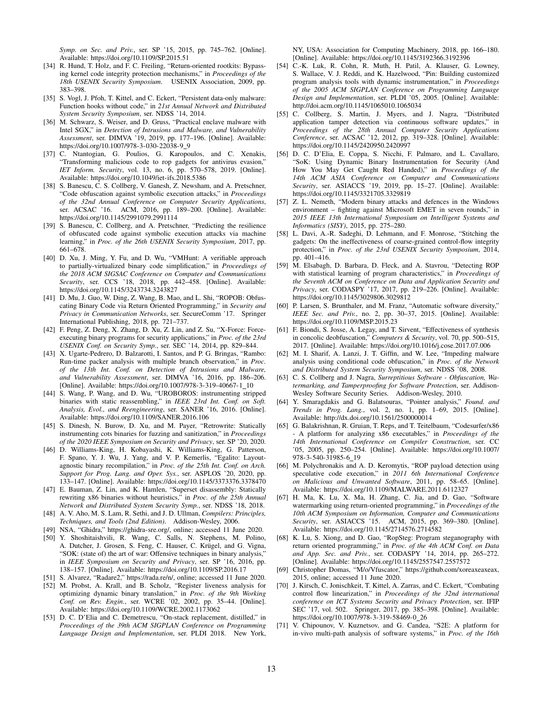*Symp. on Sec. and Priv.*, ser. SP '15, 2015, pp. 745–762. [Online]. Available: <https://doi.org/10.1109/SP.2015.51>

- <span id="page-12-0"></span>[34] R. Hund, T. Holz, and F. C. Freiling, "Return-oriented rootkits: Bypassing kernel code integrity protection mechanisms," in *Proceedings of the 18th USENIX Security Symposium*. USENIX Association, 2009, pp. 383–398.
- <span id="page-12-1"></span>[35] S. Vogl, J. Pfoh, T. Kittel, and C. Eckert, "Persistent data-only malware: Function hooks without code," in *21st Annual Network and Distributed System Security Symposium*, ser. NDSS '14, 2014.
- <span id="page-12-2"></span>[36] M. Schwarz, S. Weiser, and D. Gruss, "Practical enclave malware with Intel SGX," in *Detection of Intrusions and Malware, and Vulnerability Assessment*, ser. DIMVA '19, 2019, pp. 177–196. [Online]. Available: [https://doi.org/10.1007/978-3-030-22038-9](https://doi.org/10.1007/978-3-030-22038-9_9)\_9
- <span id="page-12-3"></span>[37] C. Ntantogian, G. Poulios, G. Karopoulos, and C. Xenakis, "Transforming malicious code to rop gadgets for antivirus evasion," *IET Inform. Security*, vol. 13, no. 6, pp. 570–578, 2019. [Online]. Available: <https://doi.org/10.1049/iet-ifs.2018.5386>
- <span id="page-12-4"></span>[38] S. Banescu, C. S. Collberg, V. Ganesh, Z. Newsham, and A. Pretschner, "Code obfuscation against symbolic execution attacks," in *Proceedings of the 32nd Annual Conference on Computer Security Applications*, ser. ACSAC '16. ACM, 2016, pp. 189–200. [Online]. Available: <https://doi.org/10.1145/2991079.2991114>
- <span id="page-12-5"></span>[39] S. Banescu, C. Collberg, and A. Pretschner, "Predicting the resilience of obfuscated code against symbolic execution attacks via machine learning," in *Proc. of the 26th USENIX Security Symposium*, 2017, pp. 661–678.
- <span id="page-12-6"></span>[40] D. Xu, J. Ming, Y. Fu, and D. Wu, "VMHunt: A verifiable approach to partially-virtualized binary code simplification," in *Proceedings of the 2018 ACM SIGSAC Conference on Computer and Communications Security*, ser. CCS '18, 2018, pp. 442–458. [Online]. Available: <https://doi.org/10.1145/3243734.3243827>
- <span id="page-12-7"></span>[41] D. Mu, J. Guo, W. Ding, Z. Wang, B. Mao, and L. Shi, "ROPOB: Obfuscating Binary Code via Return Oriented Programming," in *Security and Privacy in Communication Networks*, ser. SecureComm '17. Springer International Publishing, 2018, pp. 721–737.
- <span id="page-12-8"></span>[42] F. Peng, Z. Deng, X. Zhang, D. Xu, Z. Lin, and Z. Su, "X-Force: Forceexecuting binary programs for security applications," in *Proc. of the 23rd USENIX Conf. on Security Symp.*, ser. SEC '14, 2014, pp. 829–844.
- <span id="page-12-9"></span>[43] X. Ugarte-Pedrero, D. Balzarotti, I. Santos, and P. G. Bringas, "Rambo: Run-time packer analysis with multiple branch observation," in *Proc. of the 13th Int. Conf. on Detection of Intrusions and Malware, and Vulnerability Assessment*, ser. DIMVA '16, 2016, pp. 186–206. [Online]. Available: [https://doi.org/10.1007/978-3-319-40667-1](https://doi.org/10.1007/978-3-319-40667-1_10)\_10
- <span id="page-12-10"></span>[44] S. Wang, P. Wang, and D. Wu, "UROBOROS: instrumenting stripped binaries with static reassembling," in *IEEE 23rd Int. Conf. on Soft. Analysis, Evol., and Reengineering*, ser. SANER '16, 2016. [Online]. Available: <https://doi.org/10.1109/SANER.2016.106>
- <span id="page-12-20"></span>[45] S. Dinesh, N. Burow, D. Xu, and M. Payer, "Retrowrite: Statically instrumenting cots binaries for fuzzing and sanitization," in *Proceedings of the 2020 IEEE Symposium on Security and Privacy*, ser. SP '20, 2020.
- [46] D. Williams-King, H. Kobayashi, K. Williams-King, G. Patterson, F. Spano, Y. J. Wu, J. Yang, and V. P. Kemerlis, "Egalito: Layoutagnostic binary recompilation," in *Proc. of the 25th Int. Conf. on Arch. Support for Prog. Lang. and Oper. Sys.*, ser. ASPLOS '20, 2020, pp. 133–147. [Online]. Available: <https://doi.org/10.1145/3373376.3378470>
- <span id="page-12-11"></span>[47] E. Bauman, Z. Lin, and K. Hamlen, "Superset disassembly: Statically rewriting x86 binaries without heuristics," in *Proc. of the 25th Annual Network and Distributed System Security Symp.*, ser. NDSS '18, 2018.
- <span id="page-12-12"></span>[48] A. V. Aho, M. S. Lam, R. Sethi, and J. D. Ullman, *Compilers: Principles, Techniques, and Tools (2nd Edition)*. Addison-Wesley, 2006.
- <span id="page-12-13"></span>[49] NSA, "Ghidra," [https://ghidra-sre.org/,](https://ghidra-sre.org/) online; accessed 11 June 2020.
- <span id="page-12-14"></span>[50] Y. Shoshitaishvili, R. Wang, C. Salls, N. Stephens, M. Polino, A. Dutcher, J. Grosen, S. Feng, C. Hauser, C. Krügel, and G. Vigna, "SOK: (state of) the art of war: Offensive techniques in binary analysis," in *IEEE Symposium on Security and Privacy*, ser. SP '16, 2016, pp. 138–157. [Online]. Available: <https://doi.org/10.1109/SP.2016.17>
- <span id="page-12-15"></span>[51] S. Alvarez, "Radare2," [https://rada.re/n/,](https://rada.re/n/) online; accessed 11 June 2020.
- <span id="page-12-16"></span>[52] M. Probst, A. Krall, and B. Scholz, "Register liveness analysis for optimizing dynamic binary translation," in *Proc. of the 9th Working Conf. on Rev. Engin.*, ser. WCRE '02, 2002, pp. 35–44. [Online]. Available: <https://doi.org/10.1109/WCRE.2002.1173062>
- <span id="page-12-17"></span>[53] D. C. D'Elia and C. Demetrescu, "On-stack replacement, distilled," in *Proceedings of the 39th ACM SIGPLAN Conference on Programming Language Design and Implementation*, ser. PLDI 2018. New York,

NY, USA: Association for Computing Machinery, 2018, pp. 166–180. [Online]. Available: <https://doi.org/10.1145/3192366.3192396>

- <span id="page-12-18"></span>[54] C.-K. Luk, R. Cohn, R. Muth, H. Patil, A. Klauser, G. Lowney, S. Wallace, V. J. Reddi, and K. Hazelwood, "Pin: Building customized program analysis tools with dynamic instrumentation," in *Proceedings of the 2005 ACM SIGPLAN Conference on Programming Language Design and Implementation*, ser. PLDI '05, 2005. [Online]. Available: <http://doi.acm.org/10.1145/1065010.1065034>
- <span id="page-12-19"></span>[55] C. Collberg, S. Martin, J. Myers, and J. Nagra, "Distributed application tamper detection via continuous software updates," in *Proceedings of the 28th Annual Computer Security Applications Conference*, ser. ACSAC '12, 2012, pp. 319–328. [Online]. Available: <https://doi.org/10.1145/2420950.2420997>
- <span id="page-12-21"></span>[56] D. C. D'Elia, E. Coppa, S. Nicchi, F. Palmaro, and L. Cavallaro, "SoK: Using Dynamic Binary Instrumentation for Security (And How You May Get Caught Red Handed)," in *Proceedings of the 14th ACM ASIA Conference on Computer and Communications Security*, ser. ASIACCS '19, 2019, pp. 15–27. [Online]. Available: <https://doi.org/10.1145/3321705.3329819>
- <span id="page-12-22"></span>[57] Z. L. Nemeth, "Modern binary attacks and defences in the Windows environment – fighting against Microsoft EMET in seven rounds," in *2015 IEEE 13th International Symposium on Intelligent Systems and Informatics (SISY)*, 2015, pp. 275–280.
- <span id="page-12-23"></span>[58] L. Davi, A.-R. Sadeghi, D. Lehmann, and F. Monrose, "Stitching the gadgets: On the ineffectiveness of coarse-grained control-flow integrity protection," in *Proc. of the 23rd USENIX Security Symposium*, 2014, pp. 401–416.
- <span id="page-12-24"></span>[59] M. Elsabagh, D. Barbara, D. Fleck, and A. Stavrou, "Detecting ROP with statistical learning of program characteristics," in *Proceedings of the Seventh ACM on Conference on Data and Application Security and Privacy*, ser. CODASPY '17, 2017, pp. 219–226. [Online]. Available: <https://doi.org/10.1145/3029806.3029812>
- <span id="page-12-25"></span>[60] P. Larsen, S. Brunthaler, and M. Franz, "Automatic software diversity," *IEEE Sec. and Priv.*, no. 2, pp. 30–37, 2015. [Online]. Available: <https://doi.org/10.1109/MSP.2015.23>
- <span id="page-12-26"></span>[61] F. Biondi, S. Josse, A. Legay, and T. Sirvent, "Effectiveness of synthesis in concolic deobfuscation," *Computers & Security*, vol. 70, pp. 500–515, 2017. [Online]. Available: <https://doi.org/10.1016/j.cose.2017.07.006>
- <span id="page-12-27"></span>[62] M. I. Sharif, A. Lanzi, J. T. Giffin, and W. Lee, "Impeding malware analysis using conditional code obfuscation," in *Proc. of the Network and Distributed System Security Symposium*, ser. NDSS '08, 2008.
- <span id="page-12-28"></span>[63] C. S. Collberg and J. Nagra, *Surreptitious Software - Obfuscation, Watermarking, and Tamperproofing for Software Protection*, ser. Addison-Wesley Software Security Series. Addison-Wesley, 2010.
- <span id="page-12-29"></span>[64] Y. Smaragdakis and G. Balatsouras, "Pointer analysis," *Found. and Trends in Prog. Lang.*, vol. 2, no. 1, pp. 1–69, 2015. [Online]. Available: <http://dx.doi.org/10.1561/2500000014>
- <span id="page-12-30"></span>[65] G. Balakrishnan, R. Gruian, T. Reps, and T. Teitelbaum, "Codesurfer/x86 - A platform for analyzing x86 executables," in *Proceedings of the 14th International Conference on Compiler Construction*, ser. CC '05, 2005, pp. 250–254. [Online]. Available: [https://doi.org/10.1007/](https://doi.org/10.1007/978-3-540-31985-6_19) [978-3-540-31985-6](https://doi.org/10.1007/978-3-540-31985-6_19) 19
- <span id="page-12-31"></span>[66] M. Polychronakis and A. D. Keromytis, "ROP payload detection using speculative code execution," in *2011 6th International Conference on Malicious and Unwanted Software*, 2011, pp. 58–65. [Online]. Available: <https://doi.org/10.1109/MALWARE.2011.6112327>
- <span id="page-12-32"></span>[67] H. Ma, K. Lu, X. Ma, H. Zhang, C. Jia, and D. Gao, "Software watermarking using return-oriented programming," in *Proceedings of the 10th ACM Symposium on Information, Computer and Communications Security*, ser. ASIACCS '15. ACM, 2015, pp. 369–380. [Online]. Available: <https://doi.org/10.1145/2714576.2714582>
- <span id="page-12-33"></span>[68] K. Lu, S. Xiong, and D. Gao, "RopSteg: Program steganography with return oriented programming," in *Proc. of the 4th ACM Conf. on Data and App. Sec. and Priv.*, ser. CODASPY '14, 2014, pp. 265–272. [Online]. Available: <https://doi.org/10.1145/2557547.2557572>
- <span id="page-12-34"></span>[69] Christopher Domas, "M/o/Vfuscator," [https://github.com/xoreaxeaxeax,](https://github.com/xoreaxeaxeax) 2015, online; accessed 11 June 2020.
- <span id="page-12-35"></span>[70] J. Kirsch, C. Jonischkeit, T. Kittel, A. Zarras, and C. Eckert, "Combating control flow linearization," in *Proceedings of the 32nd international conference on ICT Systems Security and Privacy Protection*, ser. IFIP SEC '17, vol. 502. Springer, 2017, pp. 385–398. [Online]. Available: [https://doi.org/10.1007/978-3-319-58469-0](https://doi.org/10.1007/978-3-319-58469-0_26)\_26
- <span id="page-12-36"></span>[71] V. Chipounov, V. Kuznetsov, and G. Candea, "S2E: A platform for in-vivo multi-path analysis of software systems," in *Proc. of the 16th*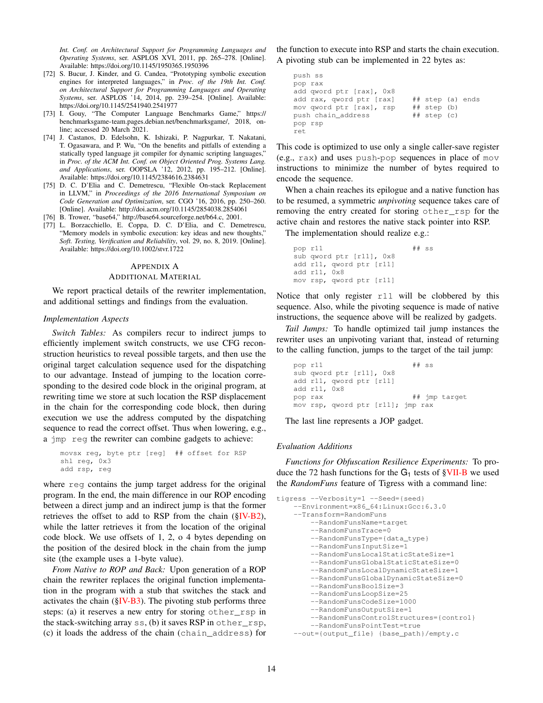*Int. Conf. on Architectural Support for Programming Languages and Operating Systems*, ser. ASPLOS XVI, 2011, pp. 265–278. [Online]. Available: <https://doi.org/10.1145/1950365.1950396>

- <span id="page-13-1"></span>[72] S. Bucur, J. Kinder, and G. Candea, "Prototyping symbolic execution engines for interpreted languages," in *Proc. of the 19th Int. Conf. on Architectural Support for Programming Languages and Operating Systems*, ser. ASPLOS '14, 2014, pp. 239–254. [Online]. Available: <https://doi.org/10.1145/2541940.2541977>
- <span id="page-13-2"></span>[73] I. Gouy, "The Computer Language Benchmarks Game," [https://](https://benchmarksgame-team.pages.debian.net/benchmarksgame/) [benchmarksgame-team.pages.debian.net/benchmarksgame/,](https://benchmarksgame-team.pages.debian.net/benchmarksgame/) 2018, online; accessed 20 March 2021.
- <span id="page-13-3"></span>[74] J. Castanos, D. Edelsohn, K. Ishizaki, P. Nagpurkar, T. Nakatani, T. Ogasawara, and P. Wu, "On the benefits and pitfalls of extending a statically typed language jit compiler for dynamic scripting languages," in *Proc. of the ACM Int. Conf. on Object Oriented Prog. Systems Lang. and Applications*, ser. OOPSLA '12, 2012, pp. 195–212. [Online]. Available: <https://doi.org/10.1145/2384616.2384631>
- <span id="page-13-4"></span>[75] D. C. D'Elia and C. Demetrescu, "Flexible On-stack Replacement in LLVM," in *Proceedings of the 2016 International Symposium on Code Generation and Optimization*, ser. CGO '16, 2016, pp. 250–260. [Online]. Available: <http://doi.acm.org/10.1145/2854038.2854061>
- <span id="page-13-5"></span>[76] B. Trower, "base64," [http://base64.sourceforge.net/b64.c,](http://base64.sourceforge.net/b64.c) 2001.
- <span id="page-13-6"></span>[77] L. Borzacchiello, E. Coppa, D. C. D'Elia, and C. Demetrescu, "Memory models in symbolic execution: key ideas and new thoughts," *Soft. Testing, Verification and Reliability*, vol. 29, no. 8, 2019. [Online]. Available: <https://doi.org/10.1002/stvr.1722>

#### <span id="page-13-0"></span>APPENDIX A

## ADDITIONAL MATERIAL

We report practical details of the rewriter implementation, and additional settings and findings from the evaluation.

## *Implementation Aspects*

*Switch Tables:* As compilers recur to indirect jumps to efficiently implement switch constructs, we use CFG reconstruction heuristics to reveal possible targets, and then use the original target calculation sequence used for the dispatching to our advantage. Instead of jumping to the location corresponding to the desired code block in the original program, at rewriting time we store at such location the RSP displacement in the chain for the corresponding code block, then during execution we use the address computed by the dispatching sequence to read the correct offset. Thus when lowering, e.g., a jmp reg the rewriter can combine gadgets to achieve:

```
movsx reg, byte ptr [reg] ## offset for RSP
shl reg, 0x3
add rsp, reg
```
where reg contains the jump target address for the original program. In the end, the main difference in our ROP encoding between a direct jump and an indirect jump is that the former retrieves the offset to add to RSP from the chain  $(\S IV-B2)$ , while the latter retrieves it from the location of the original code block. We use offsets of 1, 2, o 4 bytes depending on the position of the desired block in the chain from the jump site (the example uses a 1-byte value).

*From Native to ROP and Back:* Upon generation of a ROP chain the rewriter replaces the original function implementation in the program with a stub that switches the stack and activates the chain  $(\S$ IV-B3). The pivoting stub performs three steps: (a) it reserves a new entry for storing other\_rsp in the stack-switching array ss, (b) it saves RSP in other\_rsp, (c) it loads the address of the chain (chain\_address) for

the function to execute into RSP and starts the chain execution. A pivoting stub can be implemented in 22 bytes as:

```
push ss
pop rax
add qword ptr [rax], 0x8
add rax, qword ptr [rax] ## step (a) ends
mov qword ptr [rax], rsp ## step (b)<br>push chain_address ## step (c)
push chain_address
pop rsp
ret
```
This code is optimized to use only a single caller-save register (e.g., rax) and uses push-pop sequences in place of mov instructions to minimize the number of bytes required to encode the sequence.

When a chain reaches its epilogue and a native function has to be resumed, a symmetric *unpivoting* sequence takes care of removing the entry created for storing other\_rsp for the active chain and restores the native stack pointer into RSP.

The implementation should realize e.g.:

```
pop r11 ## ss
sub qword ptr [r11], 0x8
add r11, qword ptr [r11]
add r11, 0x8
mov rsp, qword ptr [r11]
```
Notice that only register r11 will be clobbered by this sequence. Also, while the pivoting sequence is made of native instructions, the sequence above will be realized by gadgets.

*Tail Jumps:* To handle optimized tail jump instances the rewriter uses an unpivoting variant that, instead of returning to the calling function, jumps to the target of the tail jump:

```
pop r11 ## ss
sub qword ptr [r11], 0x8
add r11, qword ptr [r11]
add r11, 0x8
pop rax ## jmp target
mov rsp, qword ptr [r11]; jmp rax
```
The last line represents a JOP gadget.

#### *Evaluation Additions*

*Functions for Obfuscation Resilience Experiments:* To produce the 72 hash functions for the  $G_1$  tests of  $\gamma$ VII-B we used the *RandomFuns* feature of Tigress with a command line:

```
tigress --Verbosity=1 --Seed={seed}
    --Environment=x86_64:Linux:Gcc:6.3.0
    --Transform=RandomFuns
        --RandomFunsName=target
        --RandomFunsTrace=0
        --RandomFunsType={data_type}
        --RandomFunsInputSize=1
        --RandomFunsLocalStaticStateSize=1
        --RandomFunsGlobalStaticStateSize=0
        --RandomFunsLocalDynamicStateSize=1
        --RandomFunsGlobalDynamicStateSize=0
        --RandomFunsBoolSize=3
        --RandomFunsLoopSize=25
        --RandomFunsCodeSize=1000
        --RandomFunsOutputSize=1
        --RandomFunsControlStructures={control}
        --RandomFunsPointTest=true
    --out={output_file} {base_path}/empty.c
```